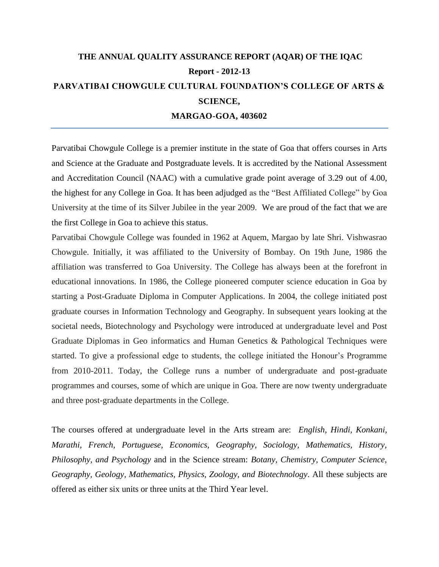# **THE ANNUAL QUALITY ASSURANCE REPORT (AQAR) OF THE IQAC Report - 2012-13 PARVATIBAI CHOWGULE CULTURAL FOUNDATION"S COLLEGE OF ARTS & SCIENCE, MARGAO-GOA, 403602**

Parvatibai Chowgule College is a premier institute in the state of Goa that offers courses in Arts and Science at the Graduate and Postgraduate levels. It is accredited by the National Assessment and Accreditation Council (NAAC) with a cumulative grade point average of 3.29 out of 4.00, the highest for any College in Goa. It has been adjudged as the "Best Affiliated College" by Goa University at the time of its Silver Jubilee in the year 2009. We are proud of the fact that we are the first College in Goa to achieve this status.

Parvatibai Chowgule College was founded in 1962 at Aquem, Margao by late Shri. Vishwasrao Chowgule. Initially, it was affiliated to the University of Bombay. On 19th June, 1986 the affiliation was transferred to Goa University. The College has always been at the forefront in educational innovations. In 1986, the College pioneered computer science education in Goa by starting a Post-Graduate Diploma in Computer Applications. In 2004, the college initiated post graduate courses in Information Technology and Geography. In subsequent years looking at the societal needs, Biotechnology and Psychology were introduced at undergraduate level and Post Graduate Diplomas in Geo informatics and Human Genetics & Pathological Techniques were started. To give a professional edge to students, the college initiated the Honour's Programme from 2010-2011. Today, the College runs a number of undergraduate and post-graduate programmes and courses, some of which are unique in Goa. There are now twenty undergraduate and three post-graduate departments in the College.

The courses offered at undergraduate level in the Arts stream are: *English, Hindi, Konkani, Marathi, French, Portuguese, Economics, Geography, Sociology, Mathematics, History, Philosophy, and Psychology* and in the Science stream: *Botany, Chemistry, Computer Science, Geography, Geology, Mathematics, Physics, Zoology, and Biotechnology*. All these subjects are offered as either six units or three units at the Third Year level.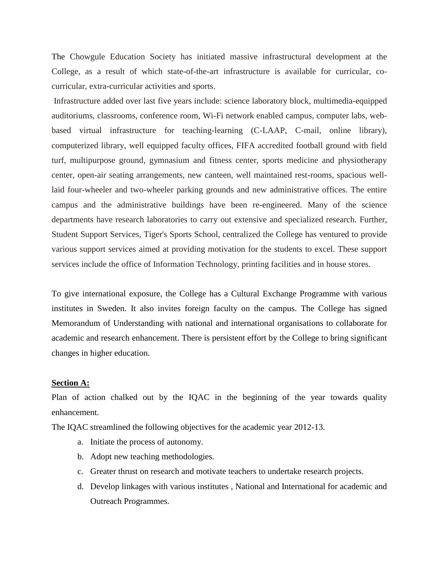The Chowgule Education Society has initiated massive infrastructural development at the College, as a result of which state-of-the-art infrastructure is available for curricular, cocurricular, extra-curricular activities and sports.

Infrastructure added over last five years include: science laboratory block, multimedia-equipped auditoriums, classrooms, conference room, Wi-Fi network enabled campus, computer labs, webbased virtual infrastructure for teaching-learning (C-LAAP, C-mail, online library), computerized library, well equipped faculty offices, FIFA accredited football ground with field turf, multipurpose ground, gymnasium and fitness center, sports medicine and physiotherapy center, open-air seating arrangements, new canteen, well maintained rest-rooms, spacious welllaid four-wheeler and two-wheeler parking grounds and new administrative offices. The entire campus and the administrative buildings have been re-engineered. Many of the science departments have research laboratories to carry out extensive and specialized research. Further, Student Support Services, Tiger's Sports School, centralized the College has ventured to provide various support services aimed at providing motivation for the students to excel. These support services include the office of Information Technology, printing facilities and in house stores.

To give international exposure, the College has a Cultural Exchange Programme with various institutes in Sweden. It also invites foreign faculty on the campus. The College has signed Memorandum of Understanding with national and international organisations to collaborate for academic and research enhancement. There is persistent effort by the College to bring significant changes in higher education.

#### **Section A:**

Plan of action chalked out by the IQAC in the beginning of the year towards quality enhancement.

The IQAC streamlined the following objectives for the academic year 2012-13.

- a. Initiate the process of autonomy.
- b. Adopt new teaching methodologies.
- c. Greater thrust on research and motivate teachers to undertake research projects.
- d. Develop linkages with various institutes , National and International for academic and Outreach Programmes.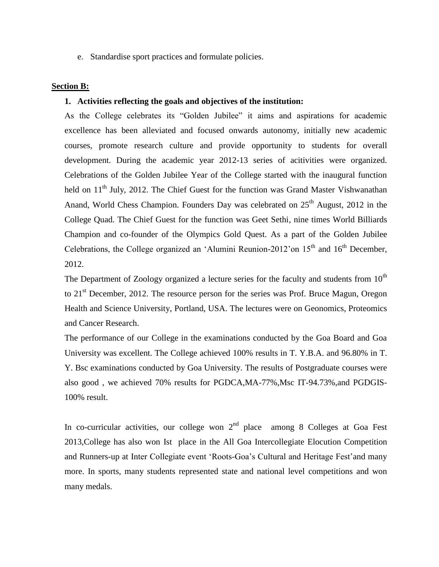e. Standardise sport practices and formulate policies.

#### **Section B:**

#### **1. Activities reflecting the goals and objectives of the institution:**

As the College celebrates its "Golden Jubilee" it aims and aspirations for academic excellence has been alleviated and focused onwards autonomy, initially new academic courses, promote research culture and provide opportunity to students for overall development. During the academic year 2012-13 series of acitivities were organized. Celebrations of the Golden Jubilee Year of the College started with the inaugural function held on  $11<sup>th</sup>$  July, 2012. The Chief Guest for the function was Grand Master Vishwanathan Anand, World Chess Champion. Founders Day was celebrated on  $25<sup>th</sup>$  August, 2012 in the College Quad. The Chief Guest for the function was Geet Sethi, nine times World Billiards Champion and co-founder of the Olympics Gold Quest. As a part of the Golden Jubilee Celebrations, the College organized an 'Alumini Reunion-2012' on  $15<sup>th</sup>$  and  $16<sup>th</sup>$  December, 2012.

The Department of Zoology organized a lecture series for the faculty and students from  $10<sup>th</sup>$ to 21<sup>st</sup> December, 2012. The resource person for the series was Prof. Bruce Magun, Oregon Health and Science University, Portland, USA. The lectures were on Geonomics, Proteomics and Cancer Research.

The performance of our College in the examinations conducted by the Goa Board and Goa University was excellent. The College achieved 100% results in T. Y.B.A. and 96.80% in T. Y. Bsc examinations conducted by Goa University. The results of Postgraduate courses were also good , we achieved 70% results for PGDCA,MA-77%,Msc IT-94.73%,and PGDGIS-100% result.

In co-curricular activities, our college won  $2<sup>nd</sup>$  place among 8 Colleges at Goa Fest 2013,College has also won Ist place in the All Goa Intercollegiate Elocution Competition and Runners-up at Inter Collegiate event 'Roots-Goa's Cultural and Heritage Fest'and many more. In sports, many students represented state and national level competitions and won many medals.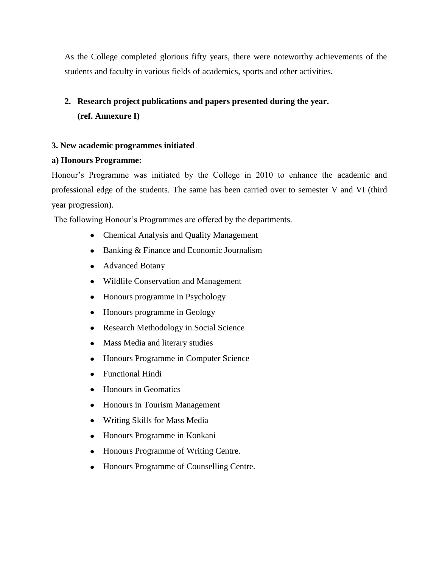As the College completed glorious fifty years, there were noteworthy achievements of the students and faculty in various fields of academics, sports and other activities.

# **2. Research project publications and papers presented during the year. (ref. Annexure I)**

# **3. New academic programmes initiated**

# **a) Honours Programme:**

Honour"s Programme was initiated by the College in 2010 to enhance the academic and professional edge of the students. The same has been carried over to semester V and VI (third year progression).

The following Honour's Programmes are offered by the departments.

- Chemical Analysis and Quality Management
- Banking & Finance and Economic Journalism
- Advanced Botany
- Wildlife Conservation and Management
- Honours programme in Psychology
- Honours programme in Geology  $\bullet$
- Research Methodology in Social Science  $\bullet$
- $\bullet$ Mass Media and literary studies
- Honours Programme in Computer Science  $\bullet$
- Functional Hindi  $\bullet$
- $\bullet$ Honours in Geomatics
- $\bullet$ Honours in Tourism Management
- Writing Skills for Mass Media
- Honours Programme in Konkani
- Honours Programme of Writing Centre.
- Honours Programme of Counselling Centre.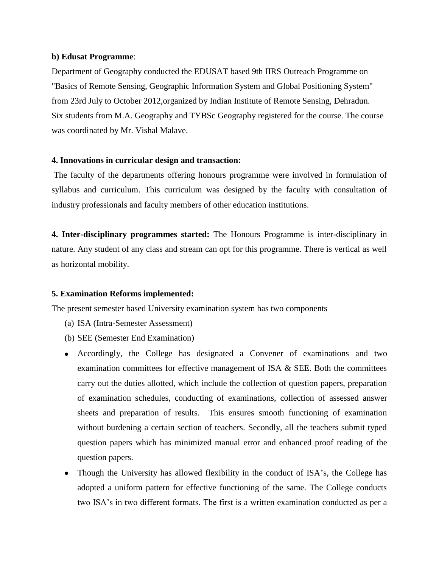### **b) Edusat Programme**:

Department of Geography conducted the EDUSAT based 9th IIRS Outreach Programme on "Basics of Remote Sensing, Geographic Information System and Global Positioning System" from 23rd July to October 2012,organized by Indian Institute of Remote Sensing, Dehradun. Six students from M.A. Geography and TYBSc Geography registered for the course. The course was coordinated by Mr. Vishal Malave.

# **4. Innovations in curricular design and transaction:**

The faculty of the departments offering honours programme were involved in formulation of syllabus and curriculum. This curriculum was designed by the faculty with consultation of industry professionals and faculty members of other education institutions.

**4. Inter-disciplinary programmes started:** The Honours Programme is inter-disciplinary in nature. Any student of any class and stream can opt for this programme. There is vertical as well as horizontal mobility.

# **5. Examination Reforms implemented:**

The present semester based University examination system has two components

- (a) ISA (Intra-Semester Assessment)
- (b) SEE (Semester End Examination)
- Accordingly, the College has designated a Convener of examinations and two examination committees for effective management of ISA  $\&$  SEE. Both the committees carry out the duties allotted, which include the collection of question papers, preparation of examination schedules, conducting of examinations, collection of assessed answer sheets and preparation of results. This ensures smooth functioning of examination without burdening a certain section of teachers. Secondly, all the teachers submit typed question papers which has minimized manual error and enhanced proof reading of the question papers.
- Though the University has allowed flexibility in the conduct of ISA's, the College has adopted a uniform pattern for effective functioning of the same. The College conducts two ISA"s in two different formats. The first is a written examination conducted as per a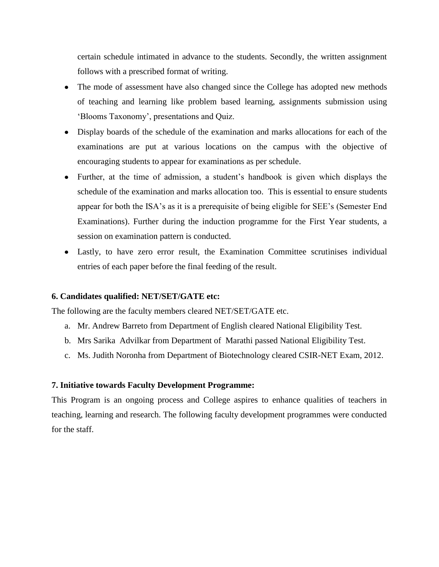certain schedule intimated in advance to the students. Secondly, the written assignment follows with a prescribed format of writing.

- The mode of assessment have also changed since the College has adopted new methods of teaching and learning like problem based learning, assignments submission using 'Blooms Taxonomy', presentations and Quiz.
- Display boards of the schedule of the examination and marks allocations for each of the examinations are put at various locations on the campus with the objective of encouraging students to appear for examinations as per schedule.
- Further, at the time of admission, a student"s handbook is given which displays the schedule of the examination and marks allocation too. This is essential to ensure students appear for both the ISA"s as it is a prerequisite of being eligible for SEE"s (Semester End Examinations). Further during the induction programme for the First Year students, a session on examination pattern is conducted.
- Lastly, to have zero error result, the Examination Committee scrutinises individual entries of each paper before the final feeding of the result.

# **6. Candidates qualified: NET/SET/GATE etc:**

The following are the faculty members cleared NET/SET/GATE etc.

- a. Mr. Andrew Barreto from Department of English cleared National Eligibility Test.
- b. Mrs Sarika Advilkar from Department of Marathi passed National Eligibility Test.
- c. Ms. Judith Noronha from Department of Biotechnology cleared CSIR-NET Exam, 2012.

# **7. Initiative towards Faculty Development Programme:**

This Program is an ongoing process and College aspires to enhance qualities of teachers in teaching, learning and research. The following faculty development programmes were conducted for the staff.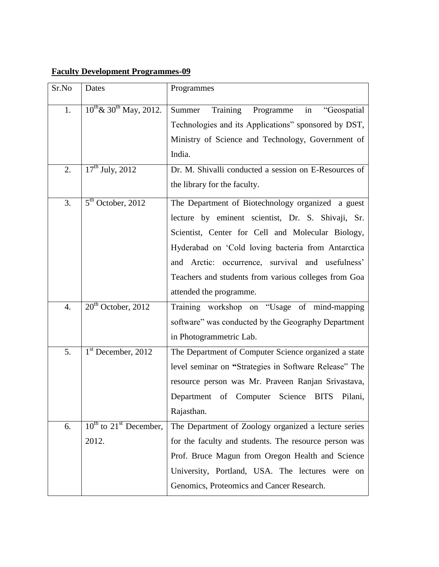# **Faculty Development Programmes-09**

| Sr.No            | Dates                                          | Programmes                                                  |  |
|------------------|------------------------------------------------|-------------------------------------------------------------|--|
| 1.               | $10^{th}$ & $30^{th}$ May, 2012.               | Summer<br>Training<br>Programme<br>in<br>"Geospatial        |  |
|                  |                                                | Technologies and its Applications" sponsored by DST,        |  |
|                  |                                                | Ministry of Science and Technology, Government of           |  |
|                  |                                                | India.                                                      |  |
| 2.               | $17th$ July, 2012                              | Dr. M. Shivalli conducted a session on E-Resources of       |  |
|                  |                                                | the library for the faculty.                                |  |
| 3.               | $5th$ October, 2012                            | The Department of Biotechnology organized a guest           |  |
|                  |                                                | lecture by eminent scientist, Dr. S. Shivaji, Sr.           |  |
|                  |                                                | Scientist, Center for Cell and Molecular Biology,           |  |
|                  |                                                | Hyderabad on 'Cold loving bacteria from Antarctica          |  |
|                  |                                                | and Arctic: occurrence, survival and usefulness'            |  |
|                  |                                                | Teachers and students from various colleges from Goa        |  |
|                  |                                                | attended the programme.                                     |  |
| $\overline{4}$ . | $20th$ October, 2012                           | Training workshop on "Usage of mind-mapping                 |  |
|                  |                                                | software" was conducted by the Geography Department         |  |
|                  |                                                | in Photogrammetric Lab.                                     |  |
| 5.               | $1st$ December, 2012                           | The Department of Computer Science organized a state        |  |
|                  |                                                | level seminar on "Strategies in Software Release" The       |  |
|                  |                                                | resource person was Mr. Praveen Ranjan Srivastava,          |  |
|                  |                                                | Department of Computer<br>Science<br><b>BITS</b><br>Pilani, |  |
|                  |                                                | Rajasthan.                                                  |  |
| 6.               | $10^{\text{th}}$ to $21^{\text{st}}$ December, | The Department of Zoology organized a lecture series        |  |
|                  | 2012.                                          | for the faculty and students. The resource person was       |  |
|                  |                                                | Prof. Bruce Magun from Oregon Health and Science            |  |
|                  |                                                | University, Portland, USA. The lectures were on             |  |
|                  |                                                | Genomics, Proteomics and Cancer Research.                   |  |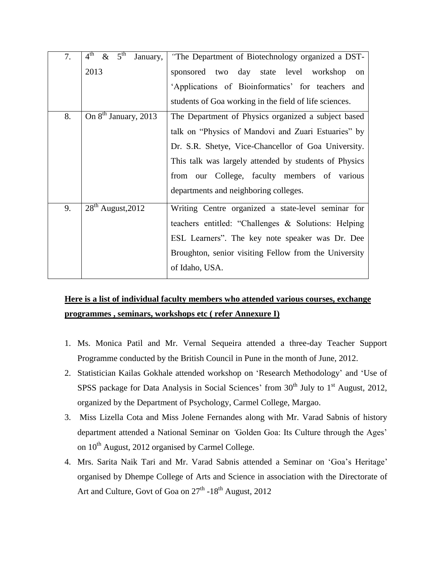| 7. | $4^{\text{th}}$ & $5^{\text{th}}$<br>January, | "The Department of Biotechnology organized a DST-      |  |
|----|-----------------------------------------------|--------------------------------------------------------|--|
|    | 2013                                          | sponsored two day state level workshop<br>on           |  |
|    |                                               | 'Applications of Bioinformatics' for teachers and      |  |
|    |                                               | students of Goa working in the field of life sciences. |  |
| 8. | On 8 <sup>th</sup> January, 2013              | The Department of Physics organized a subject based    |  |
|    |                                               | talk on "Physics of Mandovi and Zuari Estuaries" by    |  |
|    |                                               | Dr. S.R. Shetye, Vice-Chancellor of Goa University.    |  |
|    |                                               | This talk was largely attended by students of Physics  |  |
|    |                                               | from our College, faculty members of various           |  |
|    |                                               | departments and neighboring colleges.                  |  |
| 9. | $28th$ August, 2012                           | Writing Centre organized a state-level seminar for     |  |
|    |                                               | teachers entitled: "Challenges & Solutions: Helping    |  |
|    |                                               | ESL Learners". The key note speaker was Dr. Dee        |  |
|    |                                               | Broughton, senior visiting Fellow from the University  |  |
|    |                                               | of Idaho, USA.                                         |  |

# **Here is a list of individual faculty members who attended various courses, exchange programmes , seminars, workshops etc ( refer Annexure I)**

- 1. Ms. Monica Patil and Mr. Vernal Sequeira attended a three-day Teacher Support Programme conducted by the British Council in Pune in the month of June, 2012.
- 2. Statistician Kailas Gokhale attended workshop on "Research Methodology" and "Use of SPSS package for Data Analysis in Social Sciences' from  $30<sup>th</sup>$  July to  $1<sup>st</sup>$  August, 2012, organized by the Department of Psychology, Carmel College, Margao.
- 3. Miss Lizella Cota and Miss Jolene Fernandes along with Mr. Varad Sabnis of history department attended a National Seminar on *"*Golden Goa: Its Culture through the Ages" on  $10^{th}$  August, 2012 organised by Carmel College.
- 4. Mrs. Sarita Naik Tari and Mr. Varad Sabnis attended a Seminar on "Goa"s Heritage" organised by Dhempe College of Arts and Science in association with the Directorate of Art and Culture, Govt of Goa on  $27^{\text{th}}$  -18<sup>th</sup> August, 2012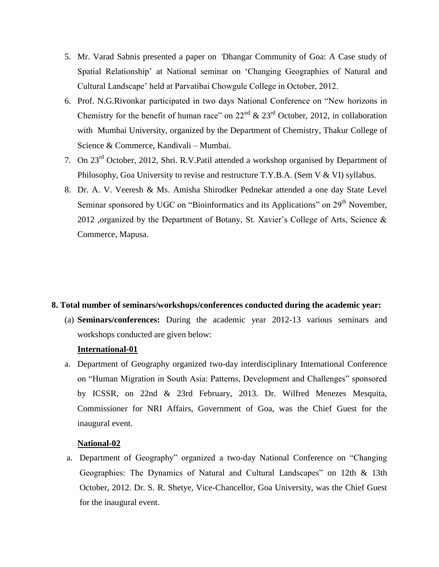- 5. Mr. Varad Sabnis presented a paper on *"*Dhangar Community of Goa: A Case study of Spatial Relationship" at National seminar on "Changing Geographies of Natural and Cultural Landscape" held at Parvatibai Chowgule College in October, 2012.
- 6. Prof. N.G.Rivonkar participated in two days National Conference on "New horizons in Chemistry for the benefit of human race" on  $22<sup>nd</sup>$  &  $23<sup>rd</sup>$  October, 2012, in collaboration with Mumbai University, organized by the Department of Chemistry, Thakur College of Science & Commerce, Kandivali – Mumbai.
- 7. On 23rd October, 2012, Shri. R.V.Patil attended a workshop organised by Department of Philosophy, Goa University to revise and restructure T.Y.B.A. (Sem V & VI) syllabus.
- 8. Dr. A. V. Veeresh & Ms. Amisha Shirodker Pednekar attended a one day State Level Seminar sponsored by UGC on "Bioinformatics and its Applications" on 29<sup>th</sup> November, 2012 ,organized by the Department of Botany, St. Xavier"s College of Arts, Science & Commerce, Mapusa.

#### **8. Total number of seminars/workshops/conferences conducted during the academic year:**

(a) **Seminars/conferences:** During the academic year 2012-13 various seminars and workshops conducted are given below:

# **International-01**

a. Department of Geography organized two-day interdisciplinary International Conference on "Human Migration in South Asia: Patterns, Development and Challenges" sponsored by ICSSR, on 22nd & 23rd February, 2013. Dr. Wilfred Menezes Mesquita, Commissioner for NRI Affairs, Government of Goa, was the Chief Guest for the inaugural event.

#### **National-02**

a. Department of Geography" organized a two-day National Conference on "Changing Geographies: The Dynamics of Natural and Cultural Landscapes" on 12th & 13th October, 2012. Dr. S. R. Shetye, Vice-Chancellor, Goa University, was the Chief Guest for the inaugural event.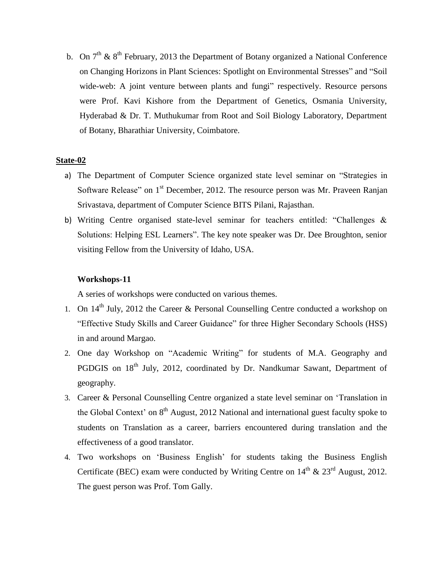b. On  $7<sup>th</sup>$  &  $8<sup>th</sup>$  February, 2013 the Department of Botany organized a National Conference on Changing Horizons in Plant Sciences: Spotlight on Environmental Stresses" and "Soil wide-web: A joint venture between plants and fungi" respectively. Resource persons were Prof. Kavi Kishore from the Department of Genetics, Osmania University, Hyderabad & Dr. T. Muthukumar from Root and Soil Biology Laboratory, Department of Botany, Bharathiar University, Coimbatore.

#### **State**-**02**

- a) The Department of Computer Science organized state level seminar on "Strategies in Software Release" on  $1<sup>st</sup>$  December, 2012. The resource person was Mr. Praveen Ranjan Srivastava, department of Computer Science BITS Pilani, Rajasthan.
- b) Writing Centre organised state-level seminar for teachers entitled: "Challenges & Solutions: Helping ESL Learners". The key note speaker was Dr. Dee Broughton, senior visiting Fellow from the University of Idaho, USA.

## **Workshops-11**

A series of workshops were conducted on various themes.

- 1. On  $14<sup>th</sup>$  July, 2012 the Career & Personal Counselling Centre conducted a workshop on "Effective Study Skills and Career Guidance" for three Higher Secondary Schools (HSS) in and around Margao.
- 2. One day Workshop on "Academic Writing" for students of M.A. Geography and PGDGIS on 18<sup>th</sup> July, 2012, coordinated by Dr. Nandkumar Sawant, Department of geography.
- 3. Career & Personal Counselling Centre organized a state level seminar on "Translation in the Global Context' on  $8<sup>th</sup>$  August, 2012 National and international guest faculty spoke to students on Translation as a career, barriers encountered during translation and the effectiveness of a good translator.
- 4. Two workshops on "Business English" for students taking the Business English Certificate (BEC) exam were conducted by Writing Centre on  $14<sup>th</sup> \& 23<sup>rd</sup>$  August, 2012. The guest person was Prof. Tom Gally.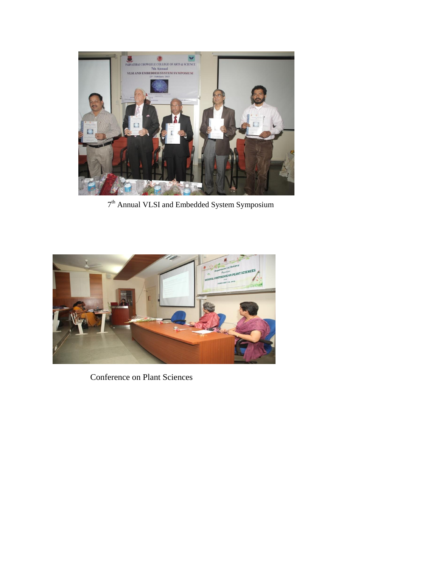

7 th Annual VLSI and Embedded System Symposium



Conference on Plant Sciences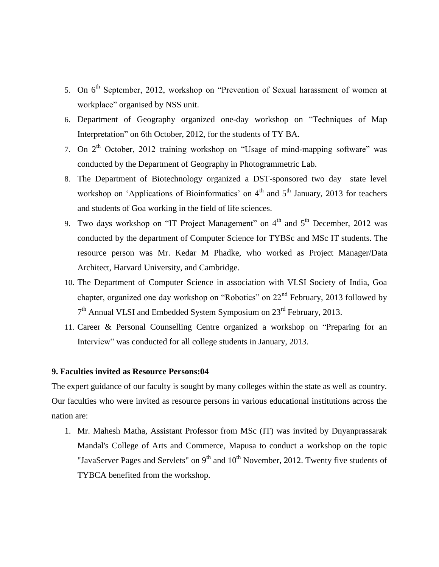- 5. On 6<sup>th</sup> September, 2012, workshop on "Prevention of Sexual harassment of women at workplace" organised by NSS unit.
- 6. Department of Geography organized one-day workshop on "Techniques of Map Interpretation" on 6th October, 2012, for the students of TY BA.
- 7. On  $2<sup>th</sup>$  October, 2012 training workshop on "Usage of mind-mapping software" was conducted by the Department of Geography in Photogrammetric Lab.
- 8. The Department of Biotechnology organized a DST-sponsored two day state level workshop on 'Applications of Bioinformatics' on  $4<sup>th</sup>$  and  $5<sup>th</sup>$  January, 2013 for teachers and students of Goa working in the field of life sciences.
- 9. Two days workshop on "IT Project Management" on  $4<sup>th</sup>$  and  $5<sup>th</sup>$  December, 2012 was conducted by the department of Computer Science for TYBSc and MSc IT students. The resource person was Mr. Kedar M Phadke, who worked as Project Manager/Data Architect, Harvard University, and Cambridge.
- 10. The Department of Computer Science in association with VLSI Society of India, Goa chapter, organized one day workshop on "Robotics" on 22nd February, 2013 followed by 7<sup>th</sup> Annual VLSI and Embedded System Symposium on 23<sup>rd</sup> February, 2013.
- 11. Career & Personal Counselling Centre organized a workshop on "Preparing for an Interview" was conducted for all college students in January, 2013.

# **9. Faculties invited as Resource Persons:04**

The expert guidance of our faculty is sought by many colleges within the state as well as country. Our faculties who were invited as resource persons in various educational institutions across the nation are:

1. Mr. Mahesh Matha, Assistant Professor from MSc (IT) was invited by Dnyanprassarak Mandal's College of Arts and Commerce, Mapusa to conduct a workshop on the topic "JavaServer Pages and Servlets" on  $9<sup>th</sup>$  and  $10<sup>th</sup>$  November, 2012. Twenty five students of TYBCA benefited from the workshop.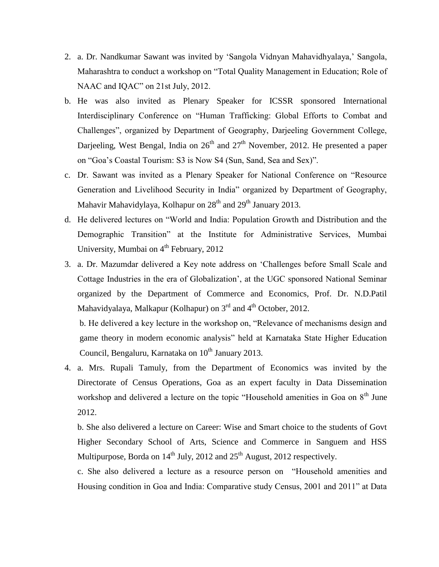- 2. a. Dr. Nandkumar Sawant was invited by "Sangola Vidnyan Mahavidhyalaya," Sangola, Maharashtra to conduct a workshop on "Total Quality Management in Education; Role of NAAC and IQAC" on 21st July, 2012.
- b. He was also invited as Plenary Speaker for ICSSR sponsored International Interdisciplinary Conference on "Human Trafficking: Global Efforts to Combat and Challenges", organized by Department of Geography, Darjeeling Government College, Darjeeling, West Bengal, India on  $26<sup>th</sup>$  and  $27<sup>th</sup>$  November, 2012. He presented a paper on "Goa"s Coastal Tourism: S3 is Now S4 (Sun, Sand, Sea and Sex)".
- c. Dr. Sawant was invited as a Plenary Speaker for National Conference on "Resource Generation and Livelihood Security in India" organized by Department of Geography, Mahavir Mahavidylaya, Kolhapur on 28<sup>th</sup> and 29<sup>th</sup> January 2013.
- d. He delivered lectures on "World and India: Population Growth and Distribution and the Demographic Transition" at the Institute for Administrative Services, Mumbai University, Mumbai on  $4<sup>th</sup>$  February, 2012
- 3. a. Dr. Mazumdar delivered a Key note address on "Challenges before Small Scale and Cottage Industries in the era of Globalization", at the UGC sponsored National Seminar organized by the Department of Commerce and Economics, Prof. Dr. N.D.Patil Mahavidyalaya, Malkapur (Kolhapur) on  $3<sup>rd</sup>$  and  $4<sup>th</sup>$  October, 2012.

b. He delivered a key lecture in the workshop on, "Relevance of mechanisms design and game theory in modern economic analysis" held at Karnataka State Higher Education Council, Bengaluru, Karnataka on  $10^{th}$  January 2013.

4. a. Mrs. Rupali Tamuly, from the Department of Economics was invited by the Directorate of Census Operations, Goa as an expert faculty in Data Dissemination workshop and delivered a lecture on the topic "Household amenities in Goa on  $8<sup>th</sup>$  June 2012.

b. She also delivered a lecture on Career: Wise and Smart choice to the students of Govt Higher Secondary School of Arts, Science and Commerce in Sanguem and HSS Multipurpose, Borda on  $14^{th}$  July, 2012 and  $25^{th}$  August, 2012 respectively.

c. She also delivered a lecture as a resource person on "Household amenities and Housing condition in Goa and India: Comparative study Census, 2001 and 2011" at Data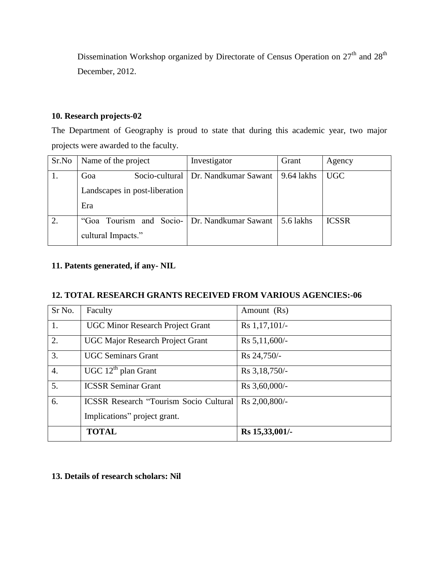Dissemination Workshop organized by Directorate of Census Operation on 27<sup>th</sup> and 28<sup>th</sup> December, 2012.

# **10. Research projects-02**

The Department of Geography is proud to state that during this academic year, two major projects were awarded to the faculty.

| Sr.No | Name of the project                          | Investigator                          | Grant      | Agency       |
|-------|----------------------------------------------|---------------------------------------|------------|--------------|
|       | Goa                                          | Socio-cultural   Dr. Nandkumar Sawant | 9.64 lakhs | <b>UGC</b>   |
|       | Landscapes in post-liberation                |                                       |            |              |
|       | Era                                          |                                       |            |              |
| 2.    | "Goa Tourism and Socio- Dr. Nandkumar Sawant |                                       | 5.6 lakhs  | <b>ICSSR</b> |
|       | cultural Impacts."                           |                                       |            |              |

# **11. Patents generated, if any- NIL**

# **12. TOTAL RESEARCH GRANTS RECEIVED FROM VARIOUS AGENCIES:-06**

| Sr No.           | Faculty                                       | Amount (Rs)      |
|------------------|-----------------------------------------------|------------------|
| 1.               | <b>UGC Minor Research Project Grant</b>       | Rs 1,17,101/-    |
| $\overline{2}$ . | <b>UGC Major Research Project Grant</b>       | $Rs 5,11,600/-$  |
| $\overline{3}$ . | <b>UGC Seminars Grant</b>                     | Rs 24,750/-      |
| $\overline{4}$ . | $UGC 12th$ plan Grant                         | Rs 3, 18, 750/-  |
| $\overline{5}$ . | <b>ICSSR Seminar Grant</b>                    | $Rs 3,60,000/$ - |
| 6.               | <b>ICSSR Research "Tourism Socio Cultural</b> | Rs 2,00,800/-    |
|                  | Implications" project grant.                  |                  |
|                  | <b>TOTAL</b>                                  | Rs 15,33,001/-   |

# **13. Details of research scholars: Nil**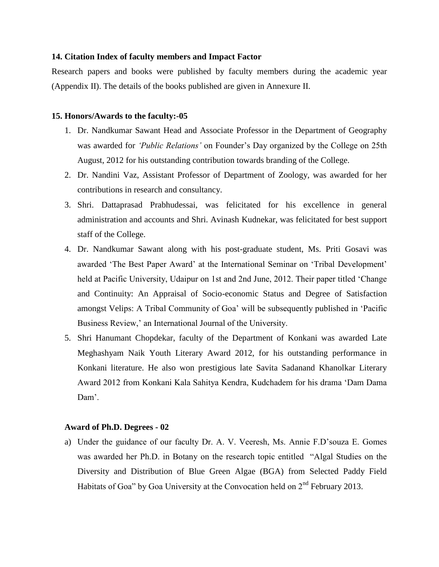## **14. Citation Index of faculty members and Impact Factor**

Research papers and books were published by faculty members during the academic year (Appendix II). The details of the books published are given in Annexure II.

#### **15. Honors/Awards to the faculty:-05**

- 1. Dr. Nandkumar Sawant Head and Associate Professor in the Department of Geography was awarded for *"Public Relations"* on Founder"s Day organized by the College on 25th August, 2012 for his outstanding contribution towards branding of the College.
- 2. Dr. Nandini Vaz, Assistant Professor of Department of Zoology, was awarded for her contributions in research and consultancy.
- 3. Shri. Dattaprasad Prabhudessai, was felicitated for his excellence in general administration and accounts and Shri. Avinash Kudnekar, was felicitated for best support staff of the College.
- 4. Dr. Nandkumar Sawant along with his post-graduate student, Ms. Priti Gosavi was awarded "The Best Paper Award" at the International Seminar on "Tribal Development" held at Pacific University, Udaipur on 1st and 2nd June, 2012. Their paper titled "Change and Continuity: An Appraisal of Socio-economic Status and Degree of Satisfaction amongst Velips: A Tribal Community of Goa" will be subsequently published in "Pacific Business Review,' an International Journal of the University.
- 5. Shri Hanumant Chopdekar, faculty of the Department of Konkani was awarded Late Meghashyam Naik Youth Literary Award 2012, for his outstanding performance in Konkani literature. He also won prestigious late Savita Sadanand Khanolkar Literary Award 2012 from Konkani Kala Sahitya Kendra, Kudchadem for his drama "Dam Dama Dam'

#### **Award of Ph.D. Degrees - 02**

a) Under the guidance of our faculty Dr. A. V. Veeresh, Ms. Annie F.D"souza E. Gomes was awarded her Ph.D. in Botany on the research topic entitled "Algal Studies on the Diversity and Distribution of Blue Green Algae (BGA) from Selected Paddy Field Habitats of Goa" by Goa University at the Convocation held on  $2<sup>nd</sup>$  February 2013.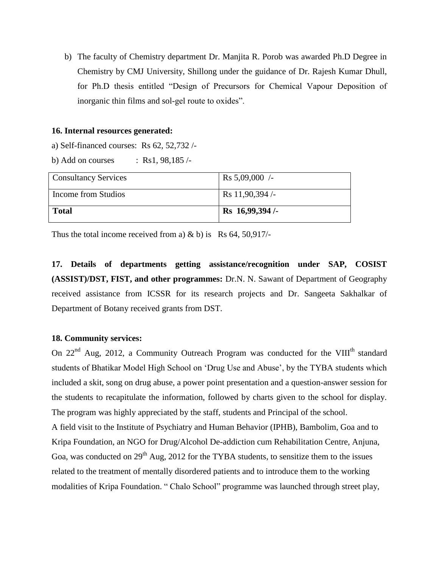b) The faculty of Chemistry department Dr. Manjita R. Porob was awarded Ph.D Degree in Chemistry by CMJ University, Shillong under the guidance of Dr. Rajesh Kumar Dhull, for Ph.D thesis entitled "Design of Precursors for Chemical Vapour Deposition of inorganic thin films and sol-gel route to oxides".

#### **16. Internal resources generated:**

a) Self-financed courses: Rs 62, 52,732 /-

b) Add on courses : Rs1,  $98,185/-$ 

| <b>Consultancy Services</b> | $\text{Rs } 5,09,000$ /-  |
|-----------------------------|---------------------------|
| Income from Studios         | $\text{Rs } 11,90,394$ /- |
| <b>Total</b>                | Rs 16,99,394/-            |

Thus the total income received from a)  $\&$  b) is Rs 64, 50,917/-

**17. Details of departments getting assistance/recognition under SAP, COSIST (ASSIST)/DST, FIST, and other programmes:** Dr.N. N. Sawant of Department of Geography received assistance from ICSSR for its research projects and Dr. Sangeeta Sakhalkar of Department of Botany received grants from DST.

### **18. Community services:**

On  $22<sup>nd</sup>$  Aug, 2012, a Community Outreach Program was conducted for the VIII<sup>th</sup> standard students of Bhatikar Model High School on "Drug Use and Abuse", by the TYBA students which included a skit, song on drug abuse, a power point presentation and a question-answer session for the students to recapitulate the information, followed by charts given to the school for display. The program was highly appreciated by the staff, students and Principal of the school. A field visit to the Institute of Psychiatry and Human Behavior (IPHB), Bambolim, Goa and to Kripa Foundation, an NGO for Drug/Alcohol De-addiction cum Rehabilitation Centre, Anjuna, Goa, was conducted on  $29<sup>th</sup>$  Aug, 2012 for the TYBA students, to sensitize them to the issues related to the treatment of mentally disordered patients and to introduce them to the working modalities of Kripa Foundation. " Chalo School" programme was launched through street play,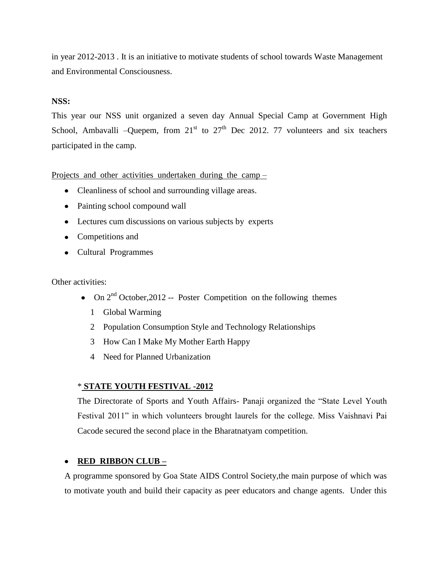in year 2012-2013 . It is an initiative to motivate students of school towards Waste Management and Environmental Consciousness.

# **NSS:**

This year our NSS unit organized a seven day Annual Special Camp at Government High School, Ambavalli –Quepem, from  $21<sup>st</sup>$  to  $27<sup>th</sup>$  Dec 2012. 77 volunteers and six teachers participated in the camp.

Projects and other activities undertaken during the camp –

- Cleanliness of school and surrounding village areas.
- Painting school compound wall
- Lectures cum discussions on various subjects by experts
- Competitions and
- Cultural Programmes

Other activities:

- On  $2^{nd}$  October, 2012 -- Poster Competition on the following themes
	- 1 Global Warming
	- 2 Population Consumption Style and Technology Relationships
	- 3 How Can I Make My Mother Earth Happy
	- 4 Need for Planned Urbanization

# \* **STATE YOUTH FESTIVAL -2012**

The Directorate of Sports and Youth Affairs- Panaji organized the "State Level Youth Festival 2011" in which volunteers brought laurels for the college. Miss Vaishnavi Pai Cacode secured the second place in the Bharatnatyam competition.

# **RED RIBBON CLUB –**

A programme sponsored by Goa State AIDS Control Society,the main purpose of which was to motivate youth and build their capacity as peer educators and change agents. Under this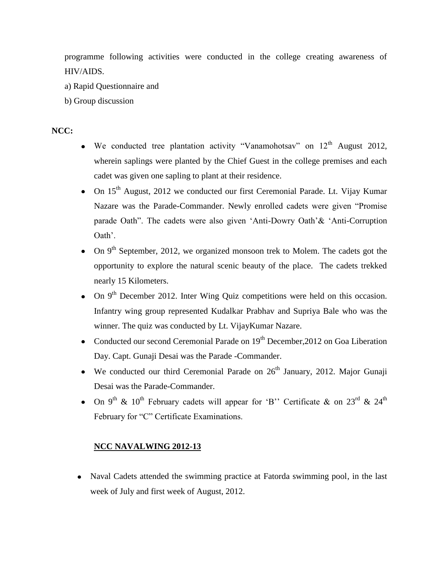programme following activities were conducted in the college creating awareness of HIV/AIDS.

- a) Rapid Questionnaire and
- b) Group discussion

# **NCC:**

- We conducted tree plantation activity "Vanamohotsay" on  $12<sup>th</sup>$  August 2012, wherein saplings were planted by the Chief Guest in the college premises and each cadet was given one sapling to plant at their residence.
- On 15<sup>th</sup> August, 2012 we conducted our first Ceremonial Parade. Lt. Vijay Kumar Nazare was the Parade-Commander. Newly enrolled cadets were given "Promise parade Oath". The cadets were also given "Anti-Dowry Oath"& "Anti-Corruption Oath'.
- On  $9<sup>th</sup>$  September, 2012, we organized monsoon trek to Molem. The cadets got the opportunity to explore the natural scenic beauty of the place. The cadets trekked nearly 15 Kilometers.
- On  $9<sup>th</sup>$  December 2012. Inter Wing Quiz competitions were held on this occasion. Infantry wing group represented Kudalkar Prabhav and Supriya Bale who was the winner. The quiz was conducted by Lt. VijayKumar Nazare.
- Conducted our second Ceremonial Parade on  $19<sup>th</sup>$  December, 2012 on Goa Liberation Day. Capt. Gunaji Desai was the Parade -Commander.
- We conducted our third Ceremonial Parade on  $26<sup>th</sup>$  January, 2012. Major Gunaji Desai was the Parade-Commander.
- On 9<sup>th</sup> & 10<sup>th</sup> February cadets will appear for 'B'' Certificate & on  $23^{\text{rd}}$  &  $24^{\text{th}}$ February for "C" Certificate Examinations.

# **NCC NAVALWING 2012-13**

• Naval Cadets attended the swimming practice at Fatorda swimming pool, in the last week of July and first week of August, 2012.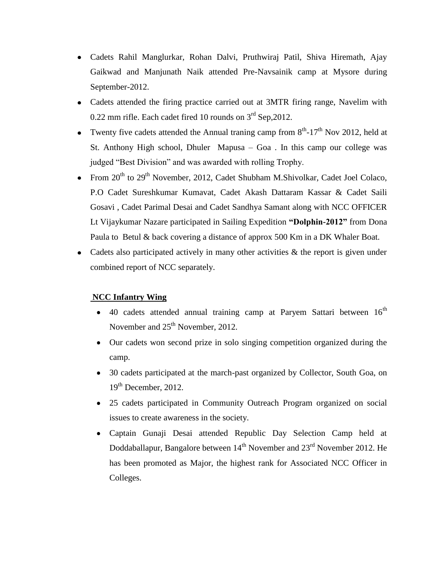- Cadets Rahil Manglurkar, Rohan Dalvi, Pruthwiraj Patil, Shiva Hiremath, Ajay Gaikwad and Manjunath Naik attended Pre-Navsainik camp at Mysore during September-2012.
- Cadets attended the firing practice carried out at 3MTR firing range, Navelim with 0.22 mm rifle. Each cadet fired 10 rounds on  $3<sup>rd</sup>$  Sep, 2012.
- Twenty five cadets attended the Annual traning camp from  $8<sup>th</sup>$ -17<sup>th</sup> Nov 2012, held at St. Anthony High school, Dhuler Mapusa – Goa . In this camp our college was judged "Best Division" and was awarded with rolling Trophy.
- From  $20^{th}$  to  $29^{th}$  November, 2012, Cadet Shubham M.Shivolkar, Cadet Joel Colaco, P.O Cadet Sureshkumar Kumavat, Cadet Akash Dattaram Kassar & Cadet Saili Gosavi , Cadet Parimal Desai and Cadet Sandhya Samant along with NCC OFFICER Lt Vijaykumar Nazare participated in Sailing Expedition **"Dolphin-2012"** from Dona Paula to Betul & back covering a distance of approx 500 Km in a DK Whaler Boat.
- Cadets also participated actively in many other activities  $\&$  the report is given under combined report of NCC separately.

# **NCC Infantry Wing**

- $\bullet$  40 cadets attended annual training camp at Paryem Sattari between  $16<sup>th</sup>$ November and  $25<sup>th</sup>$  November, 2012.
- Our cadets won second prize in solo singing competition organized during the  $\bullet$ camp.
- 30 cadets participated at the march-past organized by Collector, South Goa, on  $\bullet$  $19<sup>th</sup>$  December, 2012.
- 25 cadets participated in Community Outreach Program organized on social issues to create awareness in the society.
- Captain Gunaji Desai attended Republic Day Selection Camp held at  $\bullet$ Doddaballapur, Bangalore between 14<sup>th</sup> November and 23<sup>rd</sup> November 2012. He has been promoted as Major, the highest rank for Associated NCC Officer in Colleges.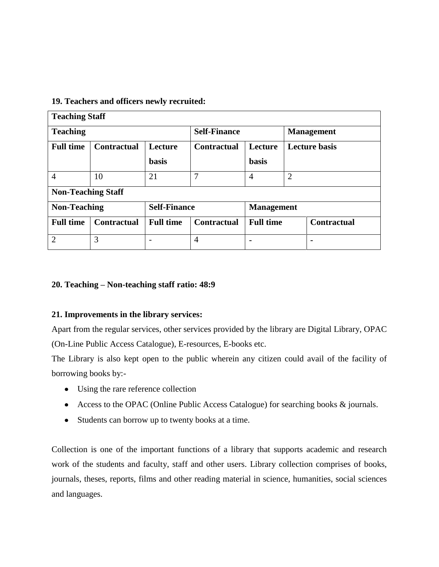# **19. Teachers and officers newly recruited:**

| <b>Teaching Staff</b> |                           |                     |                               |                                        |                      |                   |
|-----------------------|---------------------------|---------------------|-------------------------------|----------------------------------------|----------------------|-------------------|
| <b>Teaching</b>       |                           | <b>Self-Finance</b> |                               |                                        |                      | <b>Management</b> |
| <b>Full time</b>      | <b>Contractual</b>        | Lecture             | Lecture<br><b>Contractual</b> |                                        | <b>Lecture basis</b> |                   |
|                       |                           | <b>basis</b>        |                               | <b>basis</b>                           |                      |                   |
| $\overline{4}$        | 10                        | 21                  | 7                             | $\overline{4}$                         | $\overline{2}$       |                   |
|                       | <b>Non-Teaching Staff</b> |                     |                               |                                        |                      |                   |
| <b>Non-Teaching</b>   |                           | <b>Self-Finance</b> | <b>Management</b>             |                                        |                      |                   |
| <b>Full time</b>      | <b>Contractual</b>        | <b>Full time</b>    | <b>Contractual</b>            | <b>Full time</b><br><b>Contractual</b> |                      |                   |
| $\overline{2}$        | 3                         |                     | $\overline{4}$                | $\blacksquare$                         |                      |                   |

# **20. Teaching – Non-teaching staff ratio: 48:9**

# **21. Improvements in the library services:**

Apart from the regular services, other services provided by the library are Digital Library, OPAC (On-Line Public Access Catalogue), E-resources, E-books etc.

The Library is also kept open to the public wherein any citizen could avail of the facility of borrowing books by:-

- Using the rare reference collection
- Access to the OPAC (Online Public Access Catalogue) for searching books & journals.
- Students can borrow up to twenty books at a time.

Collection is one of the important functions of a library that supports academic and research work of the students and faculty, staff and other users. Library collection comprises of books, journals, theses, reports, films and other reading material in science, humanities, social sciences and languages.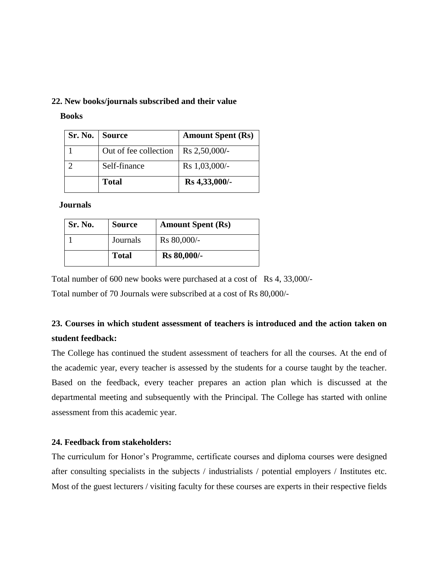#### **22. New books/journals subscribed and their value**

 **Books**

| Sr. No.   Source |                       | <b>Amount Spent (Rs)</b> |
|------------------|-----------------------|--------------------------|
|                  | Out of fee collection | Rs 2,50,000/-            |
|                  | Self-finance          | Rs 1,03,000/-            |
|                  | <b>Total</b>          | Rs 4,33,000/-            |

 **Journals**

| Sr. No. | <b>Source</b> | <b>Amount Spent (Rs)</b> |
|---------|---------------|--------------------------|
|         | Journals      | Rs 80,000/-              |
|         | <b>Total</b>  | <b>Rs</b> 80,000/-       |

Total number of 600 new books were purchased at a cost of Rs 4, 33,000/-

Total number of 70 Journals were subscribed at a cost of Rs 80,000/-

# **23. Courses in which student assessment of teachers is introduced and the action taken on student feedback:**

The College has continued the student assessment of teachers for all the courses. At the end of the academic year, every teacher is assessed by the students for a course taught by the teacher. Based on the feedback, every teacher prepares an action plan which is discussed at the departmental meeting and subsequently with the Principal. The College has started with online assessment from this academic year.

# **24. Feedback from stakeholders:**

The curriculum for Honor"s Programme, certificate courses and diploma courses were designed after consulting specialists in the subjects / industrialists / potential employers / Institutes etc. Most of the guest lecturers / visiting faculty for these courses are experts in their respective fields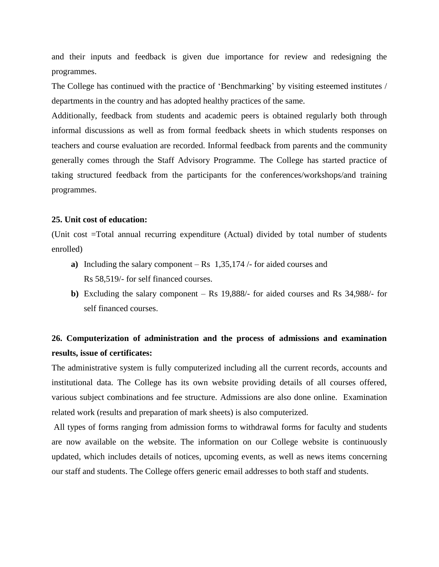and their inputs and feedback is given due importance for review and redesigning the programmes.

The College has continued with the practice of 'Benchmarking' by visiting esteemed institutes / departments in the country and has adopted healthy practices of the same.

Additionally, feedback from students and academic peers is obtained regularly both through informal discussions as well as from formal feedback sheets in which students responses on teachers and course evaluation are recorded. Informal feedback from parents and the community generally comes through the Staff Advisory Programme. The College has started practice of taking structured feedback from the participants for the conferences/workshops/and training programmes.

#### **25. Unit cost of education:**

(Unit cost =Total annual recurring expenditure (Actual) divided by total number of students enrolled)

- **a)** Including the salary component Rs 1,35,174 /- for aided courses and Rs 58,519/- for self financed courses.
- **b)** Excluding the salary component Rs 19,888/- for aided courses and Rs 34,988/- for self financed courses.

# **26. Computerization of administration and the process of admissions and examination results, issue of certificates:**

The administrative system is fully computerized including all the current records, accounts and institutional data. The College has its own website providing details of all courses offered, various subject combinations and fee structure. Admissions are also done online. Examination related work (results and preparation of mark sheets) is also computerized.

All types of forms ranging from admission forms to withdrawal forms for faculty and students are now available on the website. The information on our College website is continuously updated, which includes details of notices, upcoming events, as well as news items concerning our staff and students. The College offers generic email addresses to both staff and students.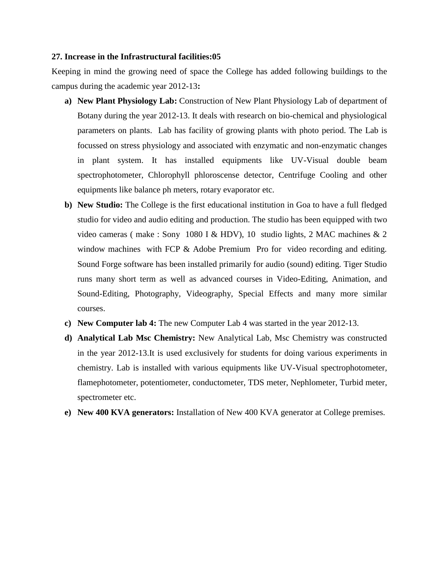#### **27. Increase in the Infrastructural facilities:05**

Keeping in mind the growing need of space the College has added following buildings to the campus during the academic year 2012-13**:**

- **a) New Plant Physiology Lab:** Construction of New Plant Physiology Lab of department of Botany during the year 2012-13. It deals with research on bio-chemical and physiological parameters on plants. Lab has facility of growing plants with photo period. The Lab is focussed on stress physiology and associated with enzymatic and non-enzymatic changes in plant system. It has installed equipments like UV-Visual double beam spectrophotometer, Chlorophyll phloroscense detector, Centrifuge Cooling and other equipments like balance ph meters, rotary evaporator etc.
- **b) New Studio:** The College is the first educational institution in Goa to have a full fledged studio for video and audio editing and production. The studio has been equipped with two video cameras ( make : Sony 1080 I & HDV), 10 studio lights, 2 MAC machines & 2 window machines with FCP & Adobe Premium Pro for video recording and editing. Sound Forge software has been installed primarily for audio (sound) editing. Tiger Studio runs many short term as well as advanced courses in Video-Editing, Animation, and Sound-Editing, Photography, Videography, Special Effects and many more similar courses.
- **c) New Computer lab 4:** The new Computer Lab 4 was started in the year 2012-13.
- **d) Analytical Lab Msc Chemistry:** New Analytical Lab, Msc Chemistry was constructed in the year 2012-13.It is used exclusively for students for doing various experiments in chemistry. Lab is installed with various equipments like UV-Visual spectrophotometer, flamephotometer, potentiometer, conductometer, TDS meter, Nephlometer, Turbid meter, spectrometer etc.
- **e) New 400 KVA generators:** Installation of New 400 KVA generator at College premises.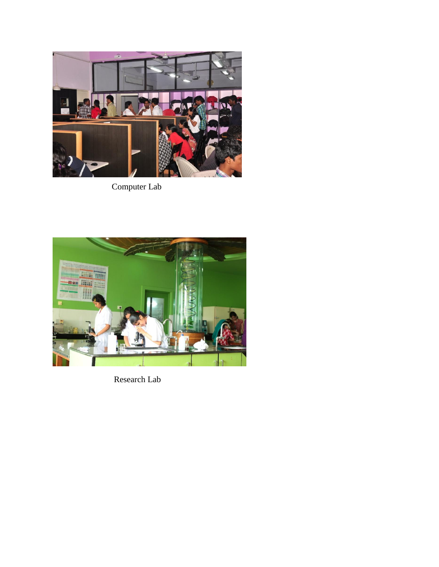

Computer Lab



Research Lab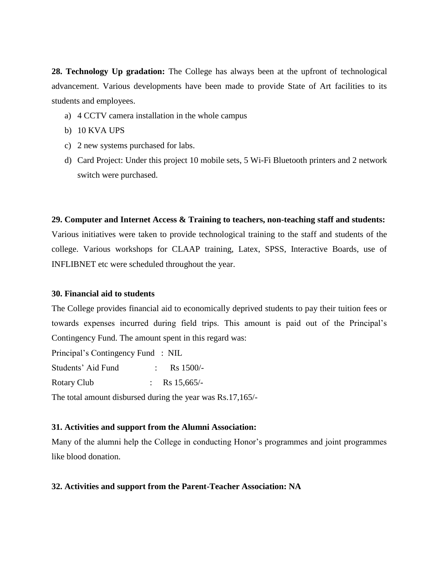**28. Technology Up gradation:** The College has always been at the upfront of technological advancement. Various developments have been made to provide State of Art facilities to its students and employees.

- a) 4 CCTV camera installation in the whole campus
- b) 10 KVA UPS
- c) 2 new systems purchased for labs.
- d) Card Project: Under this project 10 mobile sets, 5 Wi-Fi Bluetooth printers and 2 network switch were purchased.

## **29. Computer and Internet Access & Training to teachers, non-teaching staff and students:**

Various initiatives were taken to provide technological training to the staff and students of the college. Various workshops for CLAAP training, Latex, SPSS, Interactive Boards, use of INFLIBNET etc were scheduled throughout the year.

#### **30. Financial aid to students**

The College provides financial aid to economically deprived students to pay their tuition fees or towards expenses incurred during field trips. This amount is paid out of the Principal"s Contingency Fund. The amount spent in this regard was:

Principal"s Contingency Fund : NIL

Students' Aid Fund : Rs 1500/-Rotary Club : Rs 15,665/-

The total amount disbursed during the year was Rs.17,165/-

# **31. Activities and support from the Alumni Association:**

Many of the alumni help the College in conducting Honor"s programmes and joint programmes like blood donation.

# **32. Activities and support from the Parent-Teacher Association: NA**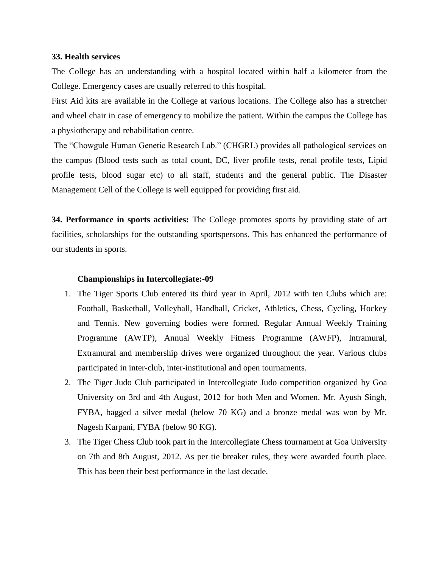#### **33. Health services**

The College has an understanding with a hospital located within half a kilometer from the College. Emergency cases are usually referred to this hospital.

First Aid kits are available in the College at various locations. The College also has a stretcher and wheel chair in case of emergency to mobilize the patient. Within the campus the College has a physiotherapy and rehabilitation centre.

The "Chowgule Human Genetic Research Lab." (CHGRL) provides all pathological services on the campus (Blood tests such as total count, DC, liver profile tests, renal profile tests, Lipid profile tests, blood sugar etc) to all staff, students and the general public. The Disaster Management Cell of the College is well equipped for providing first aid.

**34. Performance in sports activities:** The College promotes sports by providing state of art facilities, scholarships for the outstanding sportspersons. This has enhanced the performance of our students in sports.

#### **Championships in Intercollegiate:-09**

- 1. The Tiger Sports Club entered its third year in April, 2012 with ten Clubs which are: Football, Basketball, Volleyball, Handball, Cricket, Athletics, Chess, Cycling, Hockey and Tennis. New governing bodies were formed. Regular Annual Weekly Training Programme (AWTP), Annual Weekly Fitness Programme (AWFP), Intramural, Extramural and membership drives were organized throughout the year. Various clubs participated in inter-club, inter-institutional and open tournaments.
- 2. The Tiger Judo Club participated in Intercollegiate Judo competition organized by Goa University on 3rd and 4th August, 2012 for both Men and Women. Mr. Ayush Singh, FYBA, bagged a silver medal (below 70 KG) and a bronze medal was won by Mr. Nagesh Karpani, FYBA (below 90 KG).
- 3. The Tiger Chess Club took part in the Intercollegiate Chess tournament at Goa University on 7th and 8th August, 2012. As per tie breaker rules, they were awarded fourth place. This has been their best performance in the last decade.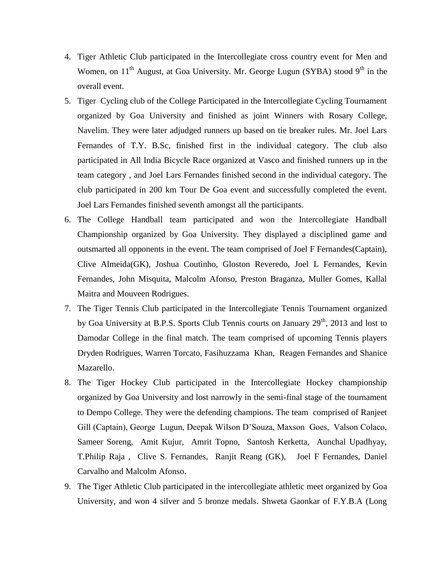- 4. Tiger Athletic Club participated in the Intercollegiate cross country event for Men and Women, on  $11<sup>th</sup>$  August, at Goa University. Mr. George Lugun (SYBA) stood 9<sup>th</sup> in the overall event.
- 5. Tiger Cycling club of the College Participated in the Intercollegiate Cycling Tournament organized by Goa University and finished as joint Winners with Rosary College, Navelim. They were later adjudged runners up based on tie breaker rules. Mr. Joel Lars Fernandes of T.Y. B.Sc, finished first in the individual category. The club also participated in All India Bicycle Race organized at Vasco and finished runners up in the team category , and Joel Lars Fernandes finished second in the individual category. The club participated in 200 km Tour De Goa event and successfully completed the event. Joel Lars Fernandes finished seventh amongst all the participants.
- 6. The College Handball team participated and won the Intercollegiate Handball Championship organized by Goa University. They displayed a disciplined game and outsmarted all opponents in the event. The team comprised of Joel F Fernandes(Captain), Clive Almeida(GK), Joshua Coutinho, Gloston Reveredo, Joel L Fernandes, Kevin Fernandes, John Misquita, Malcolm Afonso, Preston Braganza, Muller Gomes, Kallal Maitra and Mouveen Rodrigues.
- 7. The Tiger Tennis Club participated in the Intercollegiate Tennis Tournament organized by Goa University at B.P.S. Sports Club Tennis courts on January  $29<sup>th</sup>$ , 2013 and lost to Damodar College in the final match. The team comprised of upcoming Tennis players Dryden Rodrigues, Warren Torcato, Fasihuzzama Khan, Reagen Fernandes and Shanice Mazarello.
- 8. The Tiger Hockey Club participated in the Intercollegiate Hockey championship organized by Goa University and lost narrowly in the semi-final stage of the tournament to Dempo College. They were the defending champions. The team comprised of Ranjeet Gill (Captain), George Lugun, Deepak Wilson D"Souza, Maxson Goes, Valson Colaco, Sameer Soreng, Amit Kujur, Amrit Topno, Santosh Kerketta, Aunchal Upadhyay, T.Philip Raja , Clive S. Fernandes, Ranjit Reang (GK), Joel F Fernandes, Daniel Carvalho and Malcolm Afonso.
- 9. The Tiger Athletic Club participated in the intercollegiate athletic meet organized by Goa University, and won 4 silver and 5 bronze medals. Shweta Gaonkar of F.Y.B.A (Long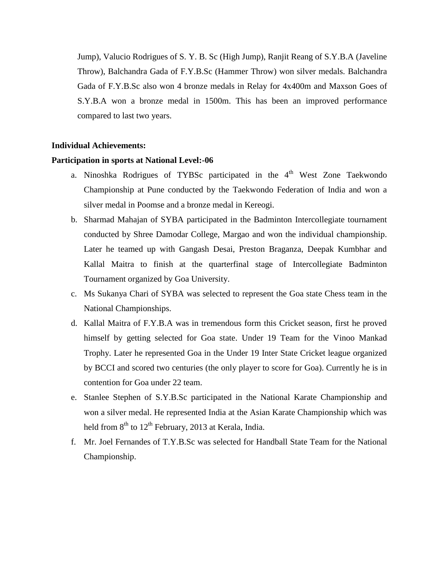Jump), Valucio Rodrigues of S. Y. B. Sc (High Jump), Ranjit Reang of S.Y.B.A (Javeline Throw), Balchandra Gada of F.Y.B.Sc (Hammer Throw) won silver medals. Balchandra Gada of F.Y.B.Sc also won 4 bronze medals in Relay for 4x400m and Maxson Goes of S.Y.B.A won a bronze medal in 1500m. This has been an improved performance compared to last two years.

# **Individual Achievements:**

#### **Participation in sports at National Level:-06**

- a. Ninoshka Rodrigues of TYBSc participated in the  $4<sup>th</sup>$  West Zone Taekwondo Championship at Pune conducted by the Taekwondo Federation of India and won a silver medal in Poomse and a bronze medal in Kereogi.
- b. Sharmad Mahajan of SYBA participated in the Badminton Intercollegiate tournament conducted by Shree Damodar College, Margao and won the individual championship. Later he teamed up with Gangash Desai, Preston Braganza, Deepak Kumbhar and Kallal Maitra to finish at the quarterfinal stage of Intercollegiate Badminton Tournament organized by Goa University.
- c. Ms Sukanya Chari of SYBA was selected to represent the Goa state Chess team in the National Championships.
- d. Kallal Maitra of F.Y.B.A was in tremendous form this Cricket season, first he proved himself by getting selected for Goa state. Under 19 Team for the Vinoo Mankad Trophy. Later he represented Goa in the Under 19 Inter State Cricket league organized by BCCI and scored two centuries (the only player to score for Goa). Currently he is in contention for Goa under 22 team.
- e. Stanlee Stephen of S.Y.B.Sc participated in the National Karate Championship and won a silver medal. He represented India at the Asian Karate Championship which was held from  $8<sup>th</sup>$  to  $12<sup>th</sup>$  February, 2013 at Kerala, India.
- f. Mr. Joel Fernandes of T.Y.B.Sc was selected for Handball State Team for the National Championship.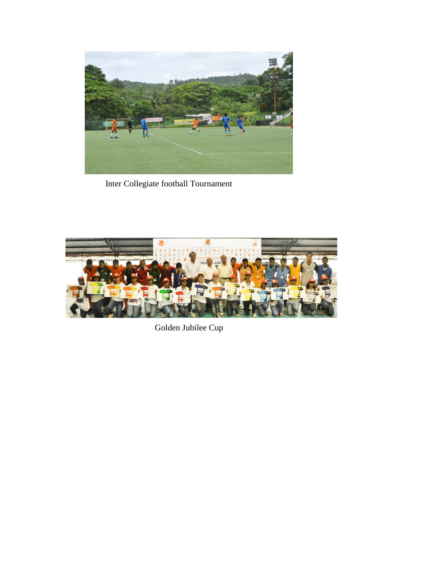

Inter Collegiate football Tournament



Golden Jubilee Cup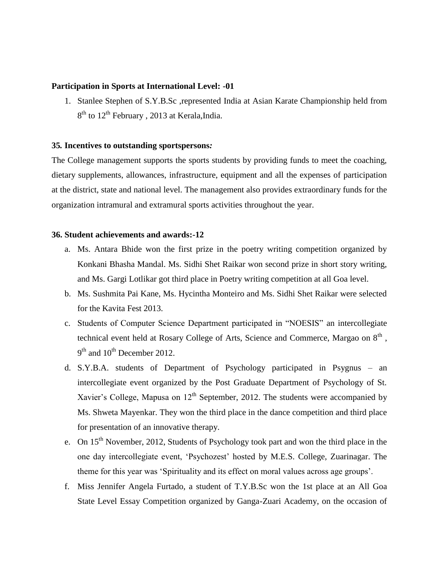# **Participation in Sports at International Level: -01**

1. Stanlee Stephen of S.Y.B.Sc ,represented India at Asian Karate Championship held from 8<sup>th</sup> to 12<sup>th</sup> February, 2013 at Kerala, India.

# **35***.* **Incentives to outstanding sportspersons***:*

The College management supports the sports students by providing funds to meet the coaching, dietary supplements, allowances, infrastructure, equipment and all the expenses of participation at the district, state and national level. The management also provides extraordinary funds for the organization intramural and extramural sports activities throughout the year.

#### **36. Student achievements and awards:-12**

- a. Ms. Antara Bhide won the first prize in the poetry writing competition organized by Konkani Bhasha Mandal. Ms. Sidhi Shet Raikar won second prize in short story writing, and Ms. Gargi Lotlikar got third place in Poetry writing competition at all Goa level.
- b. Ms. Sushmita Pai Kane, Ms. Hycintha Monteiro and Ms. Sidhi Shet Raikar were selected for the Kavita Fest 2013.
- c. Students of Computer Science Department participated in "NOESIS" an intercollegiate technical event held at Rosary College of Arts, Science and Commerce, Margao on  $8<sup>th</sup>$  ,  $9<sup>th</sup>$  and  $10<sup>th</sup>$  December 2012.
- d. S.Y.B.A. students of Department of Psychology participated in Psygnus an intercollegiate event organized by the Post Graduate Department of Psychology of St. Xavier's College, Mapusa on  $12<sup>th</sup>$  September, 2012. The students were accompanied by Ms. Shweta Mayenkar. They won the third place in the dance competition and third place for presentation of an innovative therapy.
- e. On  $15<sup>th</sup>$  November, 2012, Students of Psychology took part and won the third place in the one day intercollegiate event, "Psychozest" hosted by M.E.S. College, Zuarinagar. The theme for this year was "Spirituality and its effect on moral values across age groups".
- f. Miss Jennifer Angela Furtado, a student of T.Y.B.Sc won the 1st place at an All Goa State Level Essay Competition organized by Ganga-Zuari Academy, on the occasion of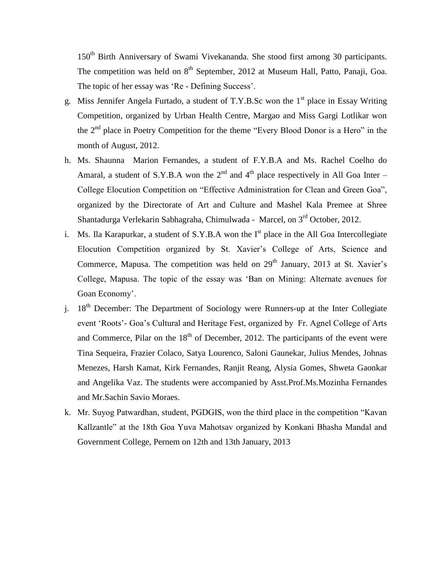150<sup>th</sup> Birth Anniversary of Swami Vivekananda. She stood first among 30 participants. The competition was held on 8<sup>th</sup> September, 2012 at Museum Hall, Patto, Panaji, Goa. The topic of her essay was 'Re - Defining Success'.

- g. Miss Jennifer Angela Furtado, a student of T.Y.B.Sc won the  $1<sup>st</sup>$  place in Essay Writing Competition, organized by Urban Health Centre, Margao and Miss Gargi Lotlikar won the  $2<sup>nd</sup>$  place in Poetry Competition for the theme "Every Blood Donor is a Hero" in the month of August, 2012.
- h. Ms. Shaunna Marion Fernandes, a student of F.Y.B.A and Ms. Rachel Coelho do Amaral, a student of S.Y.B.A won the  $2<sup>nd</sup>$  and  $4<sup>th</sup>$  place respectively in All Goa Inter – College Elocution Competition on "Effective Administration for Clean and Green Goa", organized by the Directorate of Art and Culture and Mashel Kala Premee at Shree Shantadurga Verlekarin Sabhagraha, Chimulwada - Marcel, on 3<sup>rd</sup> October, 2012.
- i. Ms. Ila Karapurkar, a student of S.Y.B.A won the  $I<sup>st</sup>$  place in the All Goa Intercollegiate Elocution Competition organized by St. Xavier"s College of Arts, Science and Commerce, Mapusa. The competition was held on  $29<sup>th</sup>$  January, 2013 at St. Xavier's College, Mapusa. The topic of the essay was "Ban on Mining: Alternate avenues for Goan Economy'.
- i.  $18<sup>th</sup>$  December: The Department of Sociology were Runners-up at the Inter Collegiate event "Roots"- Goa"s Cultural and Heritage Fest, organized by Fr. Agnel College of Arts and Commerce, Pilar on the  $18<sup>th</sup>$  of December, 2012. The participants of the event were Tina Sequeira, Frazier Colaco, Satya Lourenco, Saloni Gaunekar, Julius Mendes, Johnas Menezes, Harsh Kamat, Kirk Fernandes, Ranjit Reang, Alysia Gomes, Shweta Gaonkar and Angelika Vaz. The students were accompanied by Asst.Prof.Ms.Mozinha Fernandes and Mr.Sachin Savio Moraes.
- k. Mr. Suyog Patwardhan, student, PGDGIS, won the third place in the competition "Kavan Kallzantle" at the 18th Goa Yuva Mahotsav organized by Konkani Bhasha Mandal and Government College, Pernem on 12th and 13th January, 2013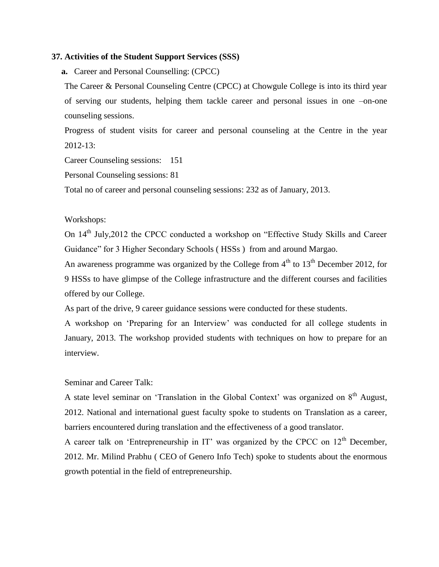#### **37. Activities of the Student Support Services (SSS)**

**a.** Career and Personal Counselling: (CPCC)

The Career & Personal Counseling Centre (CPCC) at Chowgule College is into its third year of serving our students, helping them tackle career and personal issues in one –on-one counseling sessions.

Progress of student visits for career and personal counseling at the Centre in the year 2012-13:

Career Counseling sessions: 151

Personal Counseling sessions: 81

Total no of career and personal counseling sessions: 232 as of January, 2013.

#### Workshops:

On 14<sup>th</sup> July, 2012 the CPCC conducted a workshop on "Effective Study Skills and Career Guidance" for 3 Higher Secondary Schools ( HSSs ) from and around Margao.

An awareness programme was organized by the College from  $4<sup>th</sup>$  to  $13<sup>th</sup>$  December 2012, for 9 HSSs to have glimpse of the College infrastructure and the different courses and facilities offered by our College.

As part of the drive, 9 career guidance sessions were conducted for these students.

A workshop on "Preparing for an Interview" was conducted for all college students in January, 2013. The workshop provided students with techniques on how to prepare for an interview.

# Seminar and Career Talk:

A state level seminar on 'Translation in the Global Context' was organized on  $8<sup>th</sup>$  August, 2012. National and international guest faculty spoke to students on Translation as a career, barriers encountered during translation and the effectiveness of a good translator.

A career talk on 'Entrepreneurship in IT' was organized by the CPCC on  $12<sup>th</sup>$  December, 2012. Mr. Milind Prabhu ( CEO of Genero Info Tech) spoke to students about the enormous growth potential in the field of entrepreneurship.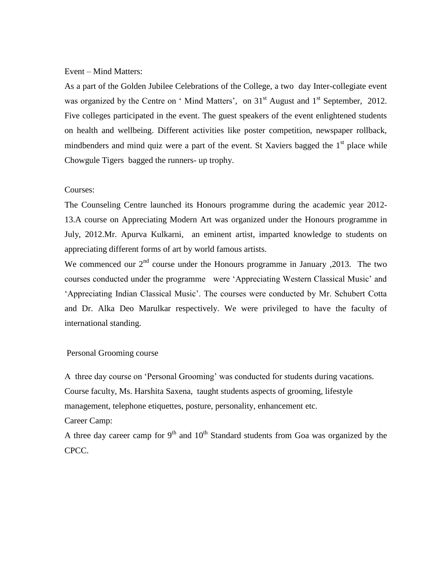#### Event – Mind Matters:

As a part of the Golden Jubilee Celebrations of the College, a two day Inter-collegiate event was organized by the Centre on 'Mind Matters', on  $31<sup>st</sup>$  August and  $1<sup>st</sup>$  September, 2012. Five colleges participated in the event. The guest speakers of the event enlightened students on health and wellbeing. Different activities like poster competition, newspaper rollback, mindbenders and mind quiz were a part of the event. St Xaviers bagged the  $1<sup>st</sup>$  place while Chowgule Tigers bagged the runners- up trophy.

### Courses:

The Counseling Centre launched its Honours programme during the academic year 2012- 13.A course on Appreciating Modern Art was organized under the Honours programme in July, 2012.Mr. Apurva Kulkarni, an eminent artist, imparted knowledge to students on appreciating different forms of art by world famous artists.

We commenced our  $2<sup>nd</sup>$  course under the Honours programme in January , 2013. The two courses conducted under the programme were "Appreciating Western Classical Music" and "Appreciating Indian Classical Music". The courses were conducted by Mr. Schubert Cotta and Dr. Alka Deo Marulkar respectively. We were privileged to have the faculty of international standing.

#### Personal Grooming course

A three day course on "Personal Grooming" was conducted for students during vacations. Course faculty, Ms. Harshita Saxena, taught students aspects of grooming, lifestyle management, telephone etiquettes, posture, personality, enhancement etc.

#### Career Camp:

A three day career camp for  $9<sup>th</sup>$  and  $10<sup>th</sup>$  Standard students from Goa was organized by the CPCC.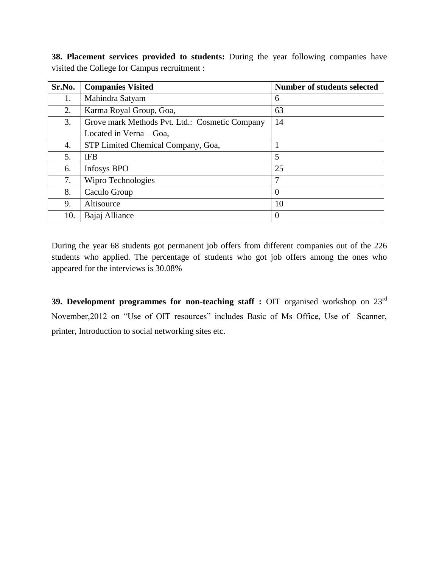**38. Placement services provided to students:** During the year following companies have visited the College for Campus recruitment :

| Sr.No. | <b>Companies Visited</b>                       | Number of students selected |
|--------|------------------------------------------------|-----------------------------|
| 1.     | Mahindra Satyam                                | 6                           |
| 2.     | Karma Royal Group, Goa,                        | 63                          |
| 3.     | Grove mark Methods Pvt. Ltd.: Cosmetic Company | 14                          |
|        | Located in Verna – Goa,                        |                             |
| 4.     | STP Limited Chemical Company, Goa,             |                             |
| 5.     | <b>IFB</b>                                     | 5                           |
| 6.     | <b>Infosys BPO</b>                             | 25                          |
| 7.     | Wipro Technologies                             | 7                           |
| 8.     | Caculo Group                                   | 0                           |
| 9.     | Altisource                                     | 10                          |
| 10.    | Bajaj Alliance                                 | $\theta$                    |

During the year 68 students got permanent job offers from different companies out of the 226 students who applied. The percentage of students who got job offers among the ones who appeared for the interviews is 30.08%

**39. Development programmes for non-teaching staff :** OIT organised workshop on 23<sup>rd</sup> November,2012 on "Use of OIT resources" includes Basic of Ms Office, Use of Scanner, printer, Introduction to social networking sites etc.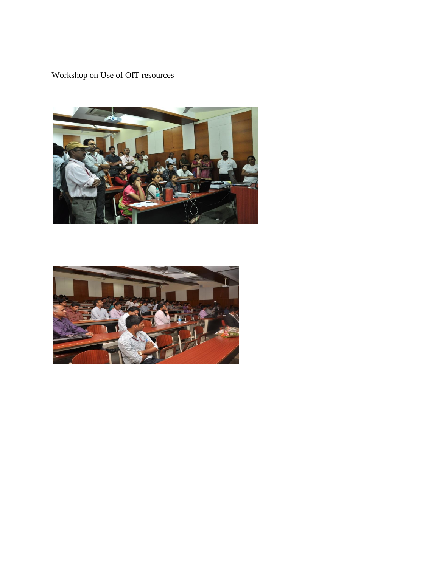Workshop on Use of OIT resources



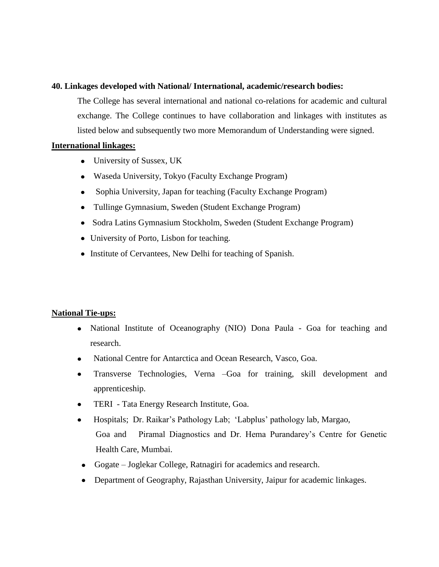# **40. Linkages developed with National/ International, academic/research bodies:**

The College has several international and national co-relations for academic and cultural exchange. The College continues to have collaboration and linkages with institutes as listed below and subsequently two more Memorandum of Understanding were signed.

# **International linkages:**

- University of Sussex, UK
- Waseda University, Tokyo (Faculty Exchange Program)
- Sophia University, Japan for teaching (Faculty Exchange Program)  $\bullet$
- Tullinge Gymnasium, Sweden (Student Exchange Program)
- Sodra Latins Gymnasium Stockholm, Sweden (Student Exchange Program)
- University of Porto, Lisbon for teaching.
- Institute of Cervantees, New Delhi for teaching of Spanish.

# **National Tie-ups:**

- National Institute of Oceanography (NIO) Dona Paula Goa for teaching and research.
- National Centre for Antarctica and Ocean Research, Vasco, Goa.  $\bullet$
- Transverse Technologies, Verna –Goa for training, skill development and  $\bullet$ apprenticeship.
- $\bullet$ TERI - Tata Energy Research Institute, Goa.
- Hospitals; Dr. Raikar"s Pathology Lab; "Labplus" pathology lab, Margao,  $\bullet$ Goa and Piramal Diagnostics and Dr. Hema Purandarey"s Centre for Genetic Health Care, Mumbai.
- Gogate Joglekar College, Ratnagiri for academics and research.
- Department of Geography, Rajasthan University, Jaipur for academic linkages. $\bullet$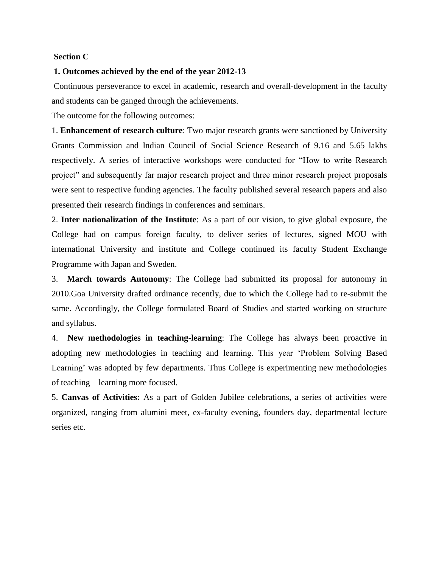### **Section C**

#### **1. Outcomes achieved by the end of the year 2012-13**

Continuous perseverance to excel in academic, research and overall-development in the faculty and students can be ganged through the achievements.

The outcome for the following outcomes:

1. **Enhancement of research culture**: Two major research grants were sanctioned by University Grants Commission and Indian Council of Social Science Research of 9.16 and 5.65 lakhs respectively. A series of interactive workshops were conducted for "How to write Research project" and subsequently far major research project and three minor research project proposals were sent to respective funding agencies. The faculty published several research papers and also presented their research findings in conferences and seminars.

2. **Inter nationalization of the Institute**: As a part of our vision, to give global exposure, the College had on campus foreign faculty, to deliver series of lectures, signed MOU with international University and institute and College continued its faculty Student Exchange Programme with Japan and Sweden.

3. **March towards Autonomy**: The College had submitted its proposal for autonomy in 2010.Goa University drafted ordinance recently, due to which the College had to re-submit the same. Accordingly, the College formulated Board of Studies and started working on structure and syllabus.

4. **New methodologies in teaching-learning**: The College has always been proactive in adopting new methodologies in teaching and learning. This year "Problem Solving Based Learning' was adopted by few departments. Thus College is experimenting new methodologies of teaching – learning more focused.

5. **Canvas of Activities:** As a part of Golden Jubilee celebrations, a series of activities were organized, ranging from alumini meet, ex-faculty evening, founders day, departmental lecture series etc.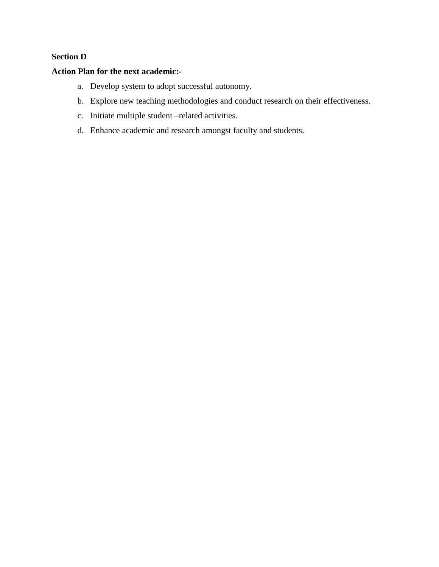# **Section D**

# **Action Plan for the next academic:-**

- a. Develop system to adopt successful autonomy.
- b. Explore new teaching methodologies and conduct research on their effectiveness.
- c. Initiate multiple student –related activities.
- d. Enhance academic and research amongst faculty and students.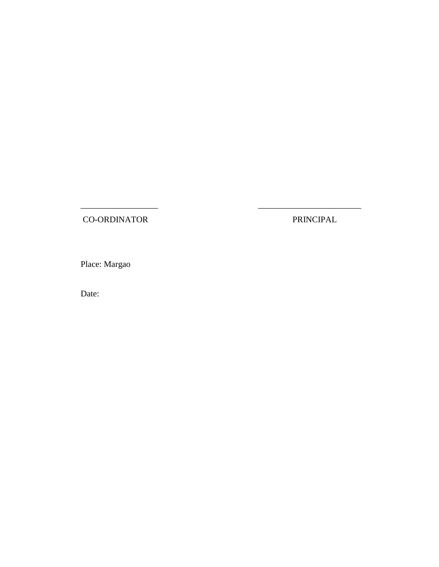CO-ORDINATOR PRINCIPAL

 $\overline{\phantom{a}}$  , and the contract of the contract of the contract of the contract of the contract of the contract of the contract of the contract of the contract of the contract of the contract of the contract of the contrac

Place: Margao

Date: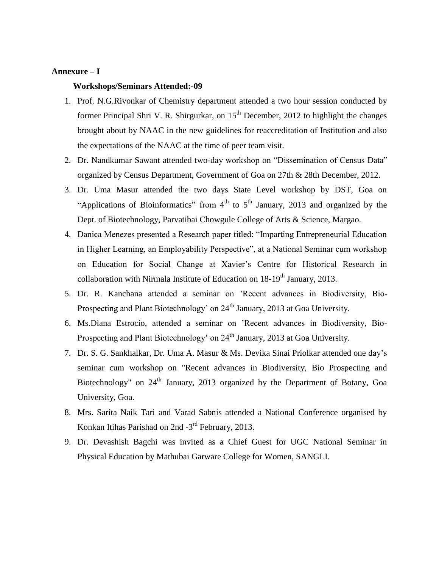## **Annexure – I**

#### **Workshops/Seminars Attended:-09**

- 1. Prof. N.G.Rivonkar of Chemistry department attended a two hour session conducted by former Principal Shri V. R. Shirgurkar, on  $15<sup>th</sup>$  December, 2012 to highlight the changes brought about by NAAC in the new guidelines for reaccreditation of Institution and also the expectations of the NAAC at the time of peer team visit.
- 2. Dr. Nandkumar Sawant attended two-day workshop on "Dissemination of Census Data" organized by Census Department, Government of Goa on 27th & 28th December, 2012.
- 3. Dr. Uma Masur attended the two days State Level workshop by DST, Goa on "Applications of Bioinformatics" from  $4<sup>th</sup>$  to  $5<sup>th</sup>$  January, 2013 and organized by the Dept. of Biotechnology, Parvatibai Chowgule College of Arts & Science, Margao.
- 4. Danica Menezes presented a Research paper titled: "Imparting Entrepreneurial Education in Higher Learning, an Employability Perspective", at a National Seminar cum workshop on Education for Social Change at Xavier"s Centre for Historical Research in collaboration with Nirmala Institute of Education on  $18-19<sup>th</sup>$  January, 2013.
- 5. Dr. R. Kanchana attended a seminar on "Recent advances in Biodiversity, Bio-Prospecting and Plant Biotechnology' on 24<sup>th</sup> January, 2013 at Goa University.
- 6. Ms.Diana Estrocio, attended a seminar on "Recent advances in Biodiversity, Bio-Prospecting and Plant Biotechnology' on 24<sup>th</sup> January, 2013 at Goa University.
- 7. Dr. S. G. Sankhalkar, Dr. Uma A. Masur & Ms. Devika Sinai Priolkar attended one day"s seminar cum workshop on "Recent advances in Biodiversity, Bio Prospecting and Biotechnology" on  $24<sup>th</sup>$  January, 2013 organized by the Department of Botany, Goa University, Goa.
- 8. Mrs. Sarita Naik Tari and Varad Sabnis attended a National Conference organised by Konkan Itihas Parishad on 2nd -3<sup>rd</sup> February, 2013.
- 9. Dr. Devashish Bagchi was invited as a Chief Guest for UGC National Seminar in Physical Education by Mathubai Garware College for Women, SANGLI.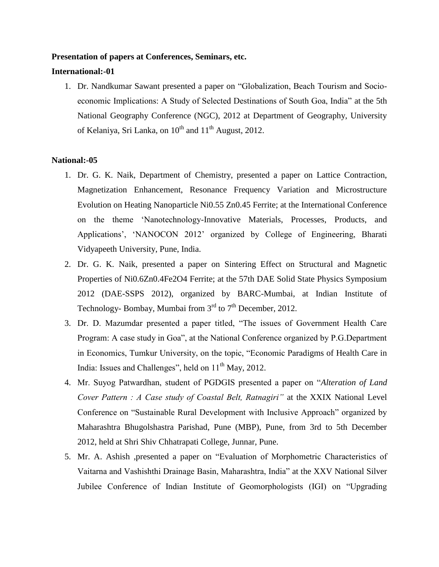#### **Presentation of papers at Conferences, Seminars, etc.**

# **International:-01**

1. Dr. Nandkumar Sawant presented a paper on "Globalization, Beach Tourism and Socioeconomic Implications: A Study of Selected Destinations of South Goa, India" at the 5th National Geography Conference (NGC), 2012 at Department of Geography, University of Kelaniya, Sri Lanka, on  $10^{th}$  and  $11^{th}$  August, 2012.

#### **National:-05**

- 1. Dr. G. K. Naik, Department of Chemistry, presented a paper on Lattice Contraction, Magnetization Enhancement, Resonance Frequency Variation and Microstructure Evolution on Heating Nanoparticle Ni0.55 Zn0.45 Ferrite; at the International Conference on the theme "Nanotechnology-Innovative Materials, Processes, Products, and Applications", "NANOCON 2012" organized by College of Engineering, Bharati Vidyapeeth University, Pune, India.
- 2. Dr. G. K. Naik, presented a paper on Sintering Effect on Structural and Magnetic Properties of Ni0.6Zn0.4Fe2O4 Ferrite; at the 57th DAE Solid State Physics Symposium 2012 (DAE-SSPS 2012), organized by BARC-Mumbai, at Indian Institute of Technology- Bombay, Mumbai from  $3<sup>rd</sup>$  to  $7<sup>th</sup>$  December, 2012.
- 3. Dr. D. Mazumdar presented a paper titled, "The issues of Government Health Care Program: A case study in Goa", at the National Conference organized by P.G.Department in Economics, Tumkur University, on the topic, "Economic Paradigms of Health Care in India: Issues and Challenges", held on  $11<sup>th</sup>$  May, 2012.
- 4. Mr. Suyog Patwardhan, student of PGDGIS presented a paper on "*Alteration of Land Cover Pattern : A Case study of Coastal Belt, Ratnagiri"* at the XXIX National Level Conference on "Sustainable Rural Development with Inclusive Approach" organized by Maharashtra Bhugolshastra Parishad, Pune (MBP), Pune, from 3rd to 5th December 2012, held at Shri Shiv Chhatrapati College, Junnar, Pune.
- 5. Mr. A. Ashish ,presented a paper on "Evaluation of Morphometric Characteristics of Vaitarna and Vashishthi Drainage Basin, Maharashtra, India" at the XXV National Silver Jubilee Conference of Indian Institute of Geomorphologists (IGI) on "Upgrading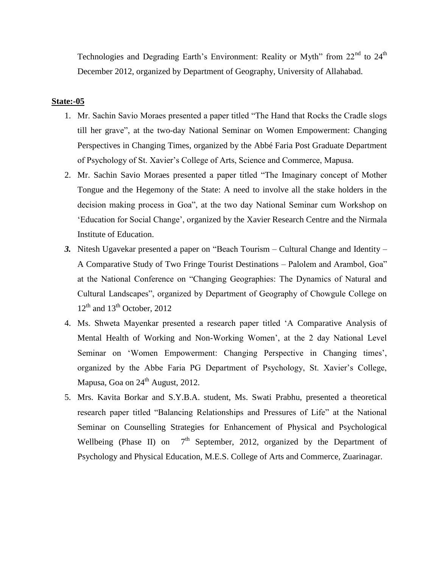Technologies and Degrading Earth's Environment: Reality or Myth" from  $22^{nd}$  to  $24^{th}$ December 2012, organized by Department of Geography, University of Allahabad.

#### **State:-05**

- 1. Mr. Sachin Savio Moraes presented a paper titled "The Hand that Rocks the Cradle slogs till her grave", at the two-day National Seminar on Women Empowerment: Changing Perspectives in Changing Times, organized by the Abbé Faria Post Graduate Department of Psychology of St. Xavier"s College of Arts, Science and Commerce, Mapusa.
- 2. Mr. Sachin Savio Moraes presented a paper titled "The Imaginary concept of Mother Tongue and the Hegemony of the State: A need to involve all the stake holders in the decision making process in Goa", at the two day National Seminar cum Workshop on "Education for Social Change", organized by the Xavier Research Centre and the Nirmala Institute of Education.
- *3.* Nitesh Ugavekar presented a paper on "Beach Tourism Cultural Change and Identity A Comparative Study of Two Fringe Tourist Destinations – Palolem and Arambol, Goa" at the National Conference on "Changing Geographies: The Dynamics of Natural and Cultural Landscapes", organized by Department of Geography of Chowgule College on  $12<sup>th</sup>$  and  $13<sup>th</sup>$  October, 2012
- 4. Ms. Shweta Mayenkar presented a research paper titled "A Comparative Analysis of Mental Health of Working and Non-Working Women", at the 2 day National Level Seminar on 'Women Empowerment: Changing Perspective in Changing times', organized by the Abbe Faria PG Department of Psychology, St. Xavier"s College, Mapusa, Goa on  $24<sup>th</sup>$  August, 2012.
- 5. Mrs. Kavita Borkar and S.Y.B.A. student, Ms. Swati Prabhu, presented a theoretical research paper titled "Balancing Relationships and Pressures of Life" at the National Seminar on Counselling Strategies for Enhancement of Physical and Psychological Wellbeing (Phase II) on  $7<sup>th</sup>$  September, 2012, organized by the Department of Psychology and Physical Education, M.E.S. College of Arts and Commerce, Zuarinagar.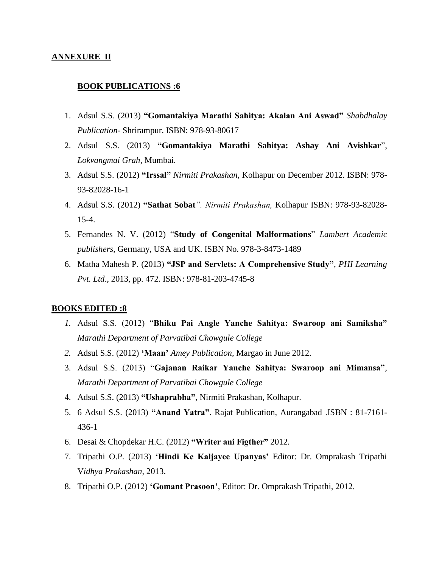#### **ANNEXURE II**

#### **BOOK PUBLICATIONS :6**

- 1. Adsul S.S. (2013) **"Gomantakiya Marathi Sahitya: Akalan Ani Aswad"** *Shabdhalay Publication-* Shrirampur. ISBN: 978-93-80617
- 2. Adsul S.S. (2013) **"Gomantakiya Marathi Sahitya: Ashay Ani Avishkar**", *Lokvangmai Grah*, Mumbai.
- 3. Adsul S.S. (2012) **"Irssal"** *Nirmiti Prakashan,* Kolhapur on December 2012. ISBN: 978- 93-82028-16-1
- 4. Adsul S.S. (2012) **"Sathat Sobat***". Nirmiti Prakashan,* Kolhapur ISBN: 978-93-82028- 15-4.
- 5. Fernandes N. V. (2012) "**Study of Congenital Malformations**" *Lambert Academic publishers*, Germany, USA and UK. ISBN No. 978-3-8473-1489
- 6. Matha Mahesh P. (2013) **"JSP and Servlets: A Comprehensive Study"**, *PHI Learning Pvt. Ltd*., 2013, pp. 472. ISBN: 978-81-203-4745-8

#### **BOOKS EDITED :8**

- *1.* Adsul S.S. (2012) "**Bhiku Pai Angle Yanche Sahitya: Swaroop ani Samiksha"** *Marathi Department of Parvatibai Chowgule College*
- *2.* Adsul S.S. (2012) **"Maan"** *Amey Publication,* Margao in June 2012.
- 3. Adsul S.S. (2013) "**Gajanan Raikar Yanche Sahitya: Swaroop ani Mimansa"**, *Marathi Department of Parvatibai Chowgule College*
- 4. Adsul S.S. (2013) **"Ushaprabha"**, Nirmiti Prakashan, Kolhapur.
- 5. 6 Adsul S.S. (2013) **"Anand Yatra"**. Rajat Publication, Aurangabad .ISBN : 81-7161- 436-1
- 6. Desai & Chopdekar H.C. (2012) **"Writer ani Figther"** 2012.
- 7. Tripathi O.P. (2013) **"Hindi Ke Kaljayee Upanyas"** Editor: Dr. Omprakash Tripathi V*idhya Prakashan*, 2013.
- 8. Tripathi O.P. (2012) **"Gomant Prasoon"**, Editor: Dr. Omprakash Tripathi, 2012.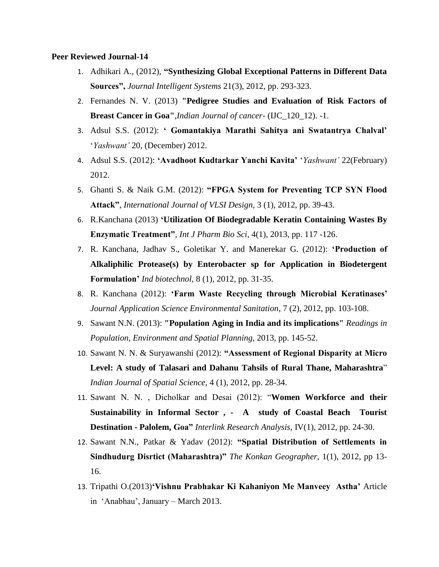#### **Peer Reviewed Journal-14**

- 1. Adhikari A., (2012), **"Synthesizing Global Exceptional Patterns in Different Data Sources",** *Journal Intelligent Systems* 21(3), 2012, pp. 293-323.
- 2. Fernandes N. V. (2013) **"Pedigree Studies and Evaluation of Risk Factors of Breast Cancer in Goa"**,*Indian Journal of cancer*- (IJC\_120\_12). -1.
- 3. Adsul S.S. (2012): **" Gomantakiya Marathi Sahitya ani Swatantrya Chalval"** "*Yashwant"* 20, (December) 2012.
- 4. Adsul S.S. (2012): **"Avadhoot Kudtarkar Yanchi Kavita"** "*Yashwant"* 22(February) 2012.
- 5. Ghanti S. & Naik G.M. (2012): **"FPGA System for Preventing TCP SYN Flood Attack"**, *International Journal of VLSI Design,* 3 (1), 2012, pp. 39-43.
- 6. R.Kanchana (2013) **"Utilization Of Biodegradable Keratin Containing Wastes By Enzymatic Treatment"**, *Int J Pharm Bio Sci*, 4(1), 2013, pp. 117 -126.
- 7. R. Kanchana, Jadhav S., Goletikar Y. and Manerekar G. (2012): **"Production of Alkaliphilic Protease(s) by Enterobacter sp for Application in Biodetergent Formulation"** *Ind biotechnol*, 8 (1), 2012, pp. 31-35.
- 8. R. Kanchana (2012): **"Farm Waste Recycling through Microbial Keratinases"** *Journal Application Science Environmental Sanitation*, 7 (2), 2012, pp. 103-108.
- 9. Sawant N.N. (2013): **"Population Aging in India and its implications"** *Readings in Population, Environment and Spatial Planning,* 2013, pp. 145-52.
- 10. Sawant N. N. & Suryawanshi (2012): **"Assessment of Regional Disparity at Micro Level: A study of Talasari and Dahanu Tahsils of Rural Thane, Maharashtra**" *Indian Journal of Spatial Science,* 4 (1), 2012, pp. 28-34.
- 11. Sawant N. N. , Dicholkar and Desai (2012): "**Women Workforce and their Sustainability in Informal Sector , - A study of Coastal Beach Tourist Destination - Palolem, Goa"** *Interlink Research Analysis,* IV(1), 2012, pp. 24-30.
- 12. Sawant N.N., Patkar & Yadav (2012): **"Spatial Distribution of Settlements in Sindhudurg Disrtict (Maharashtra)"** *The Konkan Geographer*, 1(1), 2012, pp 13- 16.
- 13. Tripathi O.(2013)**"Vishnu Prabhakar Ki Kahaniyon Me Manveey Astha"** Article in "Anabhau", January – March 2013.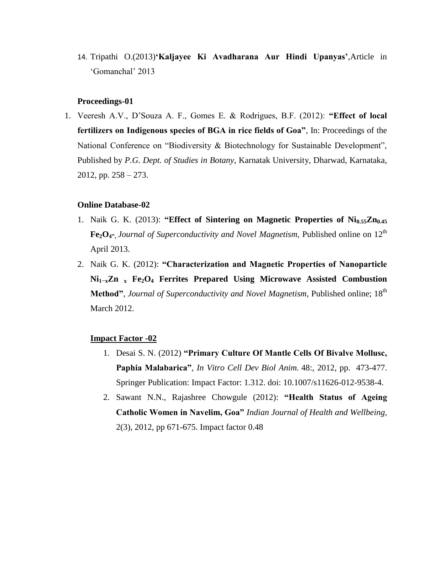14. Tripathi O.(2013)**"Kaljayee Ki Avadharana Aur Hindi Upanyas"**,Article in "Gomanchal" 2013

#### **Proceedings-01**

1. Veeresh A.V., D"Souza A. F., Gomes E. & Rodrigues, B.F. (2012): **"Effect of local fertilizers on Indigenous species of BGA in rice fields of Goa"**, In: Proceedings of the National Conference on "Biodiversity & Biotechnology for Sustainable Development", Published by *P.G. Dept. of Studies in Botany*, Karnatak University, Dharwad, Karnataka, 2012, pp.  $258 - 273$ .

## **Online Database-02**

- 1. Naik G. K. (2013): **"Effect of Sintering on Magnetic Properties of Ni0.55Zn0.45 Fe**<sub>2</sub> $O_4$ <sup>\*</sup>, *Journal of Superconductivity and Novel Magnetism*, Published online on 12<sup>th</sup> April 2013.
- 2. Naik G. K. (2012): **"Characterization and Magnetic Properties of Nanoparticle Ni1−xZn <sup>x</sup> Fe2O<sup>4</sup> Ferrites Prepared Using Microwave Assisted Combustion**  Method", *Journal of Superconductivity and Novel Magnetism*, Published online; 18<sup>th</sup> March 2012.

### **Impact Factor -02**

- 1. Desai S. N. (2012) **"Primary Culture Of Mantle Cells Of Bivalve Mollusc, Paphia Malabarica"**, *In Vitro Cell Dev Biol Anim.* 48:, 2012, pp. 473-477. Springer Publication: Impact Factor: 1.312. doi: 10.1007/s11626-012-9538-4.
- 2. Sawant N.N., Rajashree Chowgule (2012): **"Health Status of Ageing Catholic Women in Navelim, Goa"** *Indian Journal of Health and Wellbeing,* 2(3), 2012, pp 671-675. Impact factor 0.48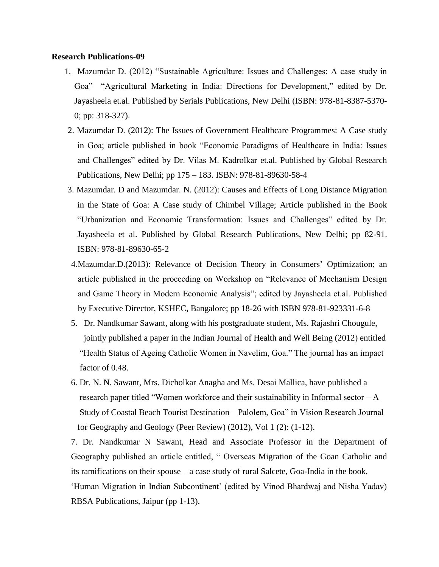#### **Research Publications-09**

- 1. Mazumdar D. (2012) "Sustainable Agriculture: Issues and Challenges: A case study in Goa" "Agricultural Marketing in India: Directions for Development," edited by Dr. Jayasheela et.al. Published by Serials Publications, New Delhi (ISBN: 978-81-8387-5370- 0; pp: 318-327).
- 2. Mazumdar D. (2012): The Issues of Government Healthcare Programmes: A Case study in Goa; article published in book "Economic Paradigms of Healthcare in India: Issues and Challenges" edited by Dr. Vilas M. Kadrolkar et.al. Published by Global Research Publications, New Delhi; pp 175 – 183. ISBN: 978-81-89630-58-4
- 3. Mazumdar. D and Mazumdar. N. (2012): Causes and Effects of Long Distance Migration in the State of Goa: A Case study of Chimbel Village; Article published in the Book "Urbanization and Economic Transformation: Issues and Challenges" edited by Dr. Jayasheela et al. Published by Global Research Publications, New Delhi; pp 82-91. ISBN: 978-81-89630-65-2
- 4. Mazumdar. D. (2013): Relevance of Decision Theory in Consumers' Optimization; an article published in the proceeding on Workshop on "Relevance of Mechanism Design and Game Theory in Modern Economic Analysis"; edited by Jayasheela et.al. Published by Executive Director, KSHEC, Bangalore; pp 18-26 with ISBN 978-81-923331-6-8
- 5. Dr. Nandkumar Sawant, along with his postgraduate student, Ms. Rajashri Chougule, jointly published a paper in the Indian Journal of Health and Well Being (2012) entitled "Health Status of Ageing Catholic Women in Navelim, Goa." The journal has an impact factor of 0.48.
- 6. Dr. N. N. Sawant, Mrs. Dicholkar Anagha and Ms. Desai Mallica, have published a research paper titled "Women workforce and their sustainability in Informal sector – A Study of Coastal Beach Tourist Destination – Palolem, Goa" in Vision Research Journal for Geography and Geology (Peer Review) (2012), Vol 1 (2): (1-12).

7. Dr. Nandkumar N Sawant, Head and Associate Professor in the Department of Geography published an article entitled, " Overseas Migration of the Goan Catholic and its ramifications on their spouse – a case study of rural Salcete, Goa-India in the book, "Human Migration in Indian Subcontinent" (edited by Vinod Bhardwaj and Nisha Yadav) RBSA Publications, Jaipur (pp 1-13).